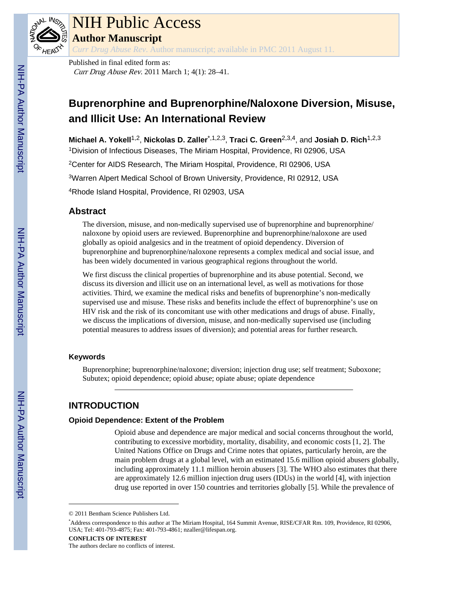

# NIH Public Access

**Author Manuscript**

*Curr Drug Abuse Rev*. Author manuscript; available in PMC 2011 August 11.

Published in final edited form as: Curr Drug Abuse Rev. 2011 March 1; 4(1): 28–41.

## **Buprenorphine and Buprenorphine/Naloxone Diversion, Misuse, and Illicit Use: An International Review**

**Michael A. Yokell**1,2, **Nickolas D. Zaller**\*,1,2,3, **Traci C. Green**2,3,4, and **Josiah D. Rich**1,2,3 Division of Infectious Diseases, The Miriam Hospital, Providence, RI 02906, USA Center for AIDS Research, The Miriam Hospital, Providence, RI 02906, USA Warren Alpert Medical School of Brown University, Providence, RI 02912, USA Rhode Island Hospital, Providence, RI 02903, USA

## **Abstract**

The diversion, misuse, and non-medically supervised use of buprenorphine and buprenorphine/ naloxone by opioid users are reviewed. Buprenorphine and buprenorphine/naloxone are used globally as opioid analgesics and in the treatment of opioid dependency. Diversion of buprenorphine and buprenorphine/naloxone represents a complex medical and social issue, and has been widely documented in various geographical regions throughout the world.

We first discuss the clinical properties of buprenorphine and its abuse potential. Second, we discuss its diversion and illicit use on an international level, as well as motivations for those activities. Third, we examine the medical risks and benefits of buprenorphine's non-medically supervised use and misuse. These risks and benefits include the effect of buprenorphine's use on HIV risk and the risk of its concomitant use with other medications and drugs of abuse. Finally, we discuss the implications of diversion, misuse, and non-medically supervised use (including potential measures to address issues of diversion); and potential areas for further research.

## **Keywords**

Buprenorphine; buprenorphine/naloxone; diversion; injection drug use; self treatment; Suboxone; Subutex; opioid dependence; opioid abuse; opiate abuse; opiate dependence

## **INTRODUCTION**

## **Opioid Dependence: Extent of the Problem**

Opioid abuse and dependence are major medical and social concerns throughout the world, contributing to excessive morbidity, mortality, disability, and economic costs [1, 2]. The United Nations Office on Drugs and Crime notes that opiates, particularly heroin, are the main problem drugs at a global level, with an estimated 15.6 million opioid abusers globally, including approximately 11.1 million heroin abusers [3]. The WHO also estimates that there are approximately 12.6 million injection drug users (IDUs) in the world [4], with injection drug use reported in over 150 countries and territories globally [5]. While the prevalence of

<sup>© 2011</sup> Bentham Science Publishers Ltd.

<sup>\*</sup>Address correspondence to this author at The Miriam Hospital, 164 Summit Avenue, RISE/CFAR Rm. 109, Providence, RI 02906, USA; Tel: 401-793-4875; Fax: 401-793-4861; nzaller@lifespan.org.

The authors declare no conflicts of interest.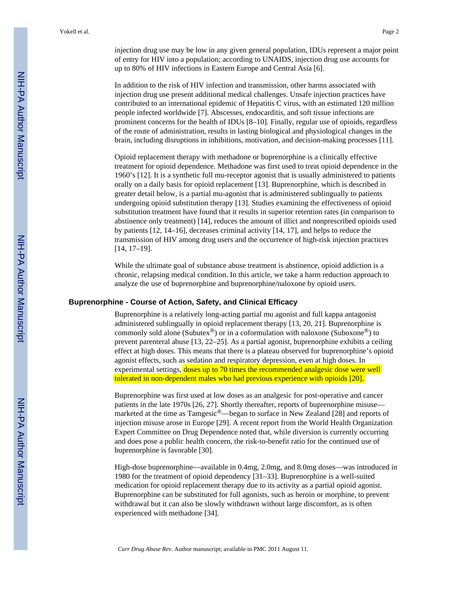injection drug use may be low in any given general population, IDUs represent a major point of entry for HIV into a population; according to UNAIDS, injection drug use accounts for up to 80% of HIV infections in Eastern Europe and Central Asia [6].

In addition to the risk of HIV infection and transmission, other harms associated with injection drug use present additional medical challenges. Unsafe injection practices have contributed to an international epidemic of Hepatitis C virus, with an estimated 120 million people infected worldwide [7]. Abscesses, endocarditis, and soft tissue infections are prominent concerns for the health of IDUs [8–10]. Finally, regular use of opioids, regardless of the route of administration, results in lasting biological and physiological changes in the brain, including disruptions in inhibitions, motivation, and decision-making processes [11].

Opioid replacement therapy with methadone or buprenorphine is a clinically effective treatment for opioid dependence. Methadone was first used to treat opioid dependence in the 1960's [12]. It is a synthetic full mu-receptor agonist that is usually administered to patients orally on a daily basis for opioid replacement [13]. Buprenorphine, which is described in greater detail below, is a partial mu-agonist that is administered sublingually to patients undergoing opioid substitution therapy [13]. Studies examining the effectiveness of opioid substitution treatment have found that it results in superior retention rates (in comparison to abstinence only treatment) [14], reduces the amount of illict and nonprescribed opioids used by patients [12, 14–16], decreases criminal activity [14, 17], and helps to reduce the transmission of HIV among drug users and the occurrence of high-risk injection practices [14, 17–19].

While the ultimate goal of substance abuse treatment is abstinence, opioid addiction is a chronic, relapsing medical condition. In this article, we take a harm reduction approach to analyze the use of buprenorphine and buprenorphine/naloxone by opioid users.

#### **Buprenorphine - Course of Action, Safety, and Clinical Efficacy**

Buprenorphine is a relatively long-acting partial mu agonist and full kappa antagonist administered sublingually in opioid replacement therapy [13, 20, 21]. Buprenorphine is commonly sold alone (Subutex<sup>®</sup>) or in a coformulation with naloxone (Suboxone<sup>®</sup>) to prevent parenteral abuse [13, 22–25]. As a partial agonist, buprenorphine exhibits a ceiling effect at high doses. This means that there is a plateau observed for buprenorphine's opioid agonist effects, such as sedation and respiratory depression, even at high doses. In experimental settings, doses up to 70 times the recommended analgesic dose were well tolerated in non-dependent males who had previous experience with opioids [20].

Buprenorphine was first used at low doses as an analgesic for post-operative and cancer patients in the late 1970s [26, 27]. Shortly thereafter, reports of buprenorphine misuse marketed at the time as Tamgesic®—began to surface in New Zealand [28] and reports of injection misuse arose in Europe [29]. A recent report from the World Health Organization Expert Committee on Drug Dependence noted that, while diversion is currently occurring and does pose a public health concern, the risk-to-benefit ratio for the continued use of buprenorphine is favorable [30].

High-dose buprenorphine—available in 0.4mg, 2.0mg, and 8.0mg doses—was introduced in 1980 for the treatment of opioid dependency [31–33]. Buprenorphine is a well-suited medication for opioid replacement therapy due to its activity as a partial opioid agonist. Buprenorphine can be substituted for full agonists, such as heroin or morphine, to prevent withdrawal but it can also be slowly withdrawn without large discomfort, as is often experienced with methadone [34].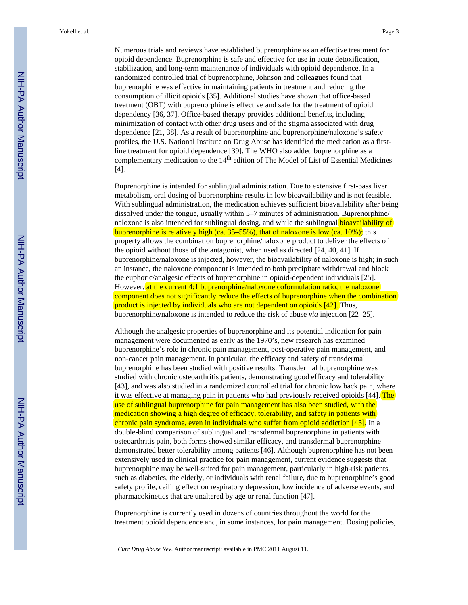Numerous trials and reviews have established buprenorphine as an effective treatment for opioid dependence. Buprenorphine is safe and effective for use in acute detoxification, stabilization, and long-term maintenance of individuals with opioid dependence. In a randomized controlled trial of buprenorphine, Johnson and colleagues found that buprenorphine was effective in maintaining patients in treatment and reducing the consumption of illicit opioids [35]. Additional studies have shown that office-based treatment (OBT) with buprenorphine is effective and safe for the treatment of opioid dependency [36, 37]. Office-based therapy provides additional benefits, including minimization of contact with other drug users and of the stigma associated with drug dependence [21, 38]. As a result of buprenorphine and buprenorphine/naloxone's safety profiles, the U.S. National Institute on Drug Abuse has identified the medication as a firstline treatment for opioid dependence [39]. The WHO also added buprenorphine as a complementary medication to the 14th edition of The Model of List of Essential Medicines [4].

Buprenorphine is intended for sublingual administration. Due to extensive first-pass liver metabolism, oral dosing of buprenorphine results in low bioavailability and is not feasible. With sublingual administration, the medication achieves sufficient bioavailability after being dissolved under the tongue, usually within 5–7 minutes of administration. Buprenorphine/ naloxone is also intended for sublingual dosing, and while the sublingual **bioavailability of** buprenorphine is relatively high (ca.  $35-55%$ ), that of naloxone is low (ca. 10%); this property allows the combination buprenorphine/naloxone product to deliver the effects of the opioid without those of the antagonist, when used as directed [24, 40, 41]. If buprenorphine/naloxone is injected, however, the bioavailability of naloxone is high; in such an instance, the naloxone component is intended to both precipitate withdrawal and block the euphoric/analgesic effects of buprenorphine in opioid-dependent individuals [25]. However, at the current 4:1 buprenorphine/naloxone coformulation ratio, the naloxone component does not significantly reduce the effects of buprenorphine when the combination product is injected by individuals who are not dependent on opioids [42]. Thus, buprenorphine/naloxone is intended to reduce the risk of abuse *via* injection [22–25].

Although the analgesic properties of buprenorphine and its potential indication for pain management were documented as early as the 1970's, new research has examined buprenorphine's role in chronic pain management, post-operative pain management, and non-cancer pain management. In particular, the efficacy and safety of transdermal buprenorphine has been studied with positive results. Transdermal buprenorphine was studied with chronic osteoarthritis patients, demonstrating good efficacy and tolerability [43], and was also studied in a randomized controlled trial for chronic low back pain, where it was effective at managing pain in patients who had previously received opioids [44]. The use of sublingual buprenorphine for pain management has also been studied, with the medication showing a high degree of efficacy, tolerability, and safety in patients with chronic pain syndrome, even in individuals who suffer from opioid addiction [45]. In a double-blind comparison of sublingual and transdermal buprenorphine in patients with osteoarthritis pain, both forms showed similar efficacy, and transdermal buprenorphine demonstrated better tolerability among patients [46]. Although buprenorphine has not been extensively used in clinical practice for pain management, current evidence suggests that buprenorphine may be well-suited for pain management, particularly in high-risk patients, such as diabetics, the elderly, or individuals with renal failure, due to buprenorphine's good safety profile, ceiling effect on respiratory depression, low incidence of adverse events, and pharmacokinetics that are unaltered by age or renal function [47].

Buprenorphine is currently used in dozens of countries throughout the world for the treatment opioid dependence and, in some instances, for pain management. Dosing policies,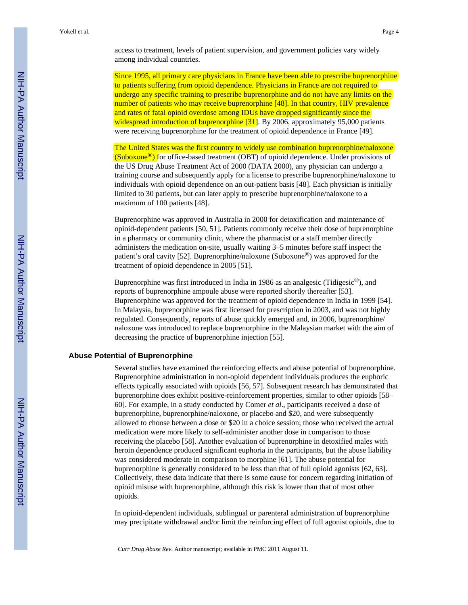Since 1995, all primary care physicians in France have been able to prescribe buprenorphine to patients suffering from opioid dependence. Physicians in France are not required to undergo any specific training to prescribe buprenorphine and do not have any limits on the number of patients who may receive buprenorphine [48]. In that country, HIV prevalence and rates of fatal opioid overdose among IDUs have dropped significantly since the widespread introduction of buprenorphine [31]. By 2006, approximately 95,000 patients were receiving buprenorphine for the treatment of opioid dependence in France [49].

The United States was the first country to widely use combination buprenorphine/naloxone  $(Suboxone<sup>®</sup>)$  for office-based treatment (OBT) of opioid dependence. Under provisions of the US Drug Abuse Treatment Act of 2000 (DATA 2000), any physician can undergo a training course and subsequently apply for a license to prescribe buprenorphine/naloxone to individuals with opioid dependence on an out-patient basis [48]. Each physician is initially limited to 30 patients, but can later apply to prescribe buprenorphine/naloxone to a maximum of 100 patients [48].

Buprenorphine was approved in Australia in 2000 for detoxification and maintenance of opioid-dependent patients [50, 51]. Patients commonly receive their dose of buprenorphine in a pharmacy or community clinic, where the pharmacist or a staff member directly administers the medication on-site, usually waiting 3–5 minutes before staff inspect the patient's oral cavity [52]. Buprenorphine/naloxone (Suboxone®) was approved for the treatment of opioid dependence in 2005 [51].

Buprenorphine was first introduced in India in 1986 as an analgesic (Tidigesic<sup>®</sup>), and reports of buprenorphine ampoule abuse were reported shortly thereafter [53]. Buprenorphine was approved for the treatment of opioid dependence in India in 1999 [54]. In Malaysia, buprenorphine was first licensed for prescription in 2003, and was not highly regulated. Consequently, reports of abuse quickly emerged and, in 2006, buprenorphine/ naloxone was introduced to replace buprenorphine in the Malaysian market with the aim of decreasing the practice of buprenorphine injection [55].

#### **Abuse Potential of Buprenorphine**

Several studies have examined the reinforcing effects and abuse potential of buprenorphine. Buprenorphine administration in non-opioid dependent individuals produces the euphoric effects typically associated with opioids [56, 57]. Subsequent research has demonstrated that buprenorphine does exhibit positive-reinforcement properties, similar to other opioids [58– 60]. For example, in a study conducted by Comer *et al*., participants received a dose of buprenorphine, buprenorphine/naloxone, or placebo and \$20, and were subsequently allowed to choose between a dose or \$20 in a choice session; those who received the actual medication were more likely to self-administer another dose in comparison to those receiving the placebo [58]. Another evaluation of buprenorphine in detoxified males with heroin dependence produced significant euphoria in the participants, but the abuse liability was considered moderate in comparison to morphine [61]. The abuse potential for buprenorphine is generally considered to be less than that of full opioid agonists [62, 63]. Collectively, these data indicate that there is some cause for concern regarding initiation of opioid misuse with buprenorphine, although this risk is lower than that of most other opioids.

In opioid-dependent individuals, sublingual or parenteral administration of buprenorphine may precipitate withdrawal and/or limit the reinforcing effect of full agonist opioids, due to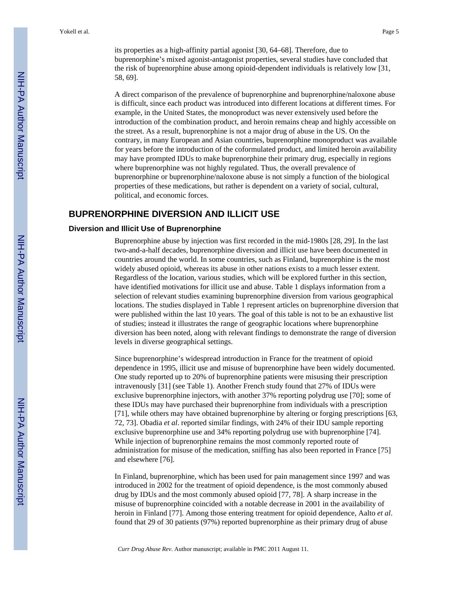its properties as a high-affinity partial agonist [30, 64–68]. Therefore, due to buprenorphine's mixed agonist-antagonist properties, several studies have concluded that the risk of buprenorphine abuse among opioid-dependent individuals is relatively low [31, 58, 69].

A direct comparison of the prevalence of buprenorphine and buprenorphine/naloxone abuse is difficult, since each product was introduced into different locations at different times. For example, in the United States, the monoproduct was never extensively used before the introduction of the combination product, and heroin remains cheap and highly accessible on the street. As a result, buprenorphine is not a major drug of abuse in the US. On the contrary, in many European and Asian countries, buprenorphine monoproduct was available for years before the introduction of the coformulated product, and limited heroin availability may have prompted IDUs to make buprenorphine their primary drug, especially in regions where buprenorphine was not highly regulated. Thus, the overall prevalence of buprenorphine or buprenorphine/naloxone abuse is not simply a function of the biological properties of these medications, but rather is dependent on a variety of social, cultural, political, and economic forces.

## **BUPRENORPHINE DIVERSION AND ILLICIT USE**

#### **Diversion and Illicit Use of Buprenorphine**

Buprenorphine abuse by injection was first recorded in the mid-1980s [28, 29]. In the last two-and-a-half decades, buprenorphine diversion and illicit use have been documented in countries around the world. In some countries, such as Finland, buprenorphine is the most widely abused opioid, whereas its abuse in other nations exists to a much lesser extent. Regardless of the location, various studies, which will be explored further in this section, have identified motivations for illicit use and abuse. Table 1 displays information from a selection of relevant studies examining buprenorphine diversion from various geographical locations. The studies displayed in Table 1 represent articles on buprenorphine diversion that were published within the last 10 years. The goal of this table is not to be an exhaustive list of studies; instead it illustrates the range of geographic locations where buprenorphine diversion has been noted, along with relevant findings to demonstrate the range of diversion levels in diverse geographical settings.

Since buprenorphine's widespread introduction in France for the treatment of opioid dependence in 1995, illicit use and misuse of buprenorphine have been widely documented. One study reported up to 20% of buprenorphine patients were misusing their prescription intravenously [31] (see Table 1). Another French study found that 27% of IDUs were exclusive buprenorphine injectors, with another 37% reporting polydrug use [70]; some of these IDUs may have purchased their buprenorphine from individuals with a prescription [71], while others may have obtained buprenorphine by altering or forging prescriptions [63, 72, 73]. Obadia *et al*. reported similar findings, with 24% of their IDU sample reporting exclusive buprenorphine use and 34% reporting polydrug use with buprenorphine [74]. While injection of buprenorphine remains the most commonly reported route of administration for misuse of the medication, sniffing has also been reported in France [75] and elsewhere [76].

In Finland, buprenorphine, which has been used for pain management since 1997 and was introduced in 2002 for the treatment of opioid dependence, is the most commonly abused drug by IDUs and the most commonly abused opioid [77, 78]. A sharp increase in the misuse of buprenorphine coincided with a notable decrease in 2001 in the availability of heroin in Finland [77]. Among those entering treatment for opioid dependence, Aalto *et al*. found that 29 of 30 patients (97%) reported buprenorphine as their primary drug of abuse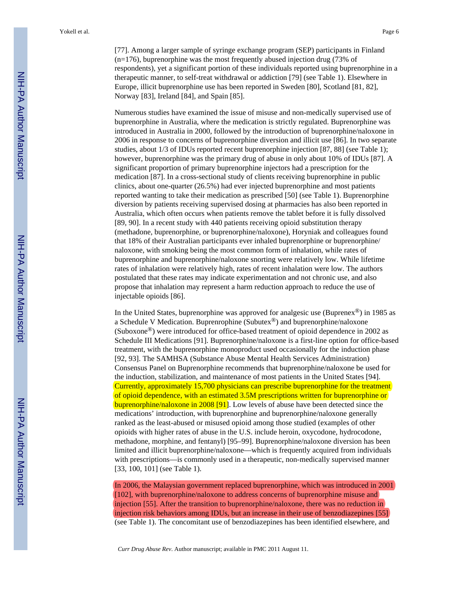[77]. Among a larger sample of syringe exchange program (SEP) participants in Finland (n=176), buprenorphine was the most frequently abused injection drug (73% of respondents), yet a significant portion of these individuals reported using buprenorphine in a therapeutic manner, to self-treat withdrawal or addiction [79] (see Table 1). Elsewhere in Europe, illicit buprenorphine use has been reported in Sweden [80], Scotland [81, 82], Norway [83], Ireland [84], and Spain [85].

Numerous studies have examined the issue of misuse and non-medically supervised use of buprenorphine in Australia, where the medication is strictly regulated. Buprenorphine was introduced in Australia in 2000, followed by the introduction of buprenorphine/naloxone in 2006 in response to concerns of buprenorphine diversion and illicit use [86]. In two separate studies, about 1/3 of IDUs reported recent buprenorphine injection [87, 88] (see Table 1); however, buprenorphine was the primary drug of abuse in only about 10% of IDUs [87]. A significant proportion of primary buprenorphine injectors had a prescription for the medication [87]. In a cross-sectional study of clients receiving buprenorphine in public clinics, about one-quarter (26.5%) had ever injected buprenorphine and most patients reported wanting to take their medication as prescribed [50] (see Table 1). Buprenorphine diversion by patients receiving supervised dosing at pharmacies has also been reported in Australia, which often occurs when patients remove the tablet before it is fully dissolved [89, 90]. In a recent study with 440 patients receiving opioid substitution therapy (methadone, buprenorphine, or buprenorphine/naloxone), Horyniak and colleagues found that 18% of their Australian participants ever inhaled buprenorphine or buprenorphine/ naloxone, with smoking being the most common form of inhalation, while rates of buprenorphine and buprenorphine/naloxone snorting were relatively low. While lifetime rates of inhalation were relatively high, rates of recent inhalation were low. The authors postulated that these rates may indicate experimentation and not chronic use, and also propose that inhalation may represent a harm reduction approach to reduce the use of injectable opioids [86].

In the United States, buprenorphine was approved for analgesic use (Buprenex<sup>®</sup>) in 1985 as a Schedule V Medication. Buprenrophine (Subutex<sup>®</sup>) and buprenorphine/naloxone (Suboxone®) were introduced for office-based treatment of opioid dependence in 2002 as Schedule III Medications [91]. Buprenorphine/naloxone is a first-line option for office-based treatment, with the buprenorphine monoproduct used occasionally for the induction phase [92, 93]. The SAMHSA (Substance Abuse Mental Health Services Administration) Consensus Panel on Buprenorphine recommends that buprenorphine/naloxone be used for the induction, stabilization, and maintenance of most patients in the United States [94]. Currently, approximately 15,700 physicians can prescribe buprenorphine for the treatment of opioid dependence, with an estimated 3.5M prescriptions written for buprenorphine or buprenorphine/naloxone in 2008 [91]. Low levels of abuse have been detected since the medications' introduction, with buprenorphine and buprenorphine/naloxone generally ranked as the least-abused or misused opioid among those studied (examples of other opioids with higher rates of abuse in the U.S. include heroin, oxycodone, hydrocodone, methadone, morphine, and fentanyl) [95–99]. Buprenorphine/naloxone diversion has been limited and illicit buprenorphine/naloxone—which is frequently acquired from individuals with prescriptions—is commonly used in a therapeutic, non-medically supervised manner [33, 100, 101] (see Table 1).

In 2006, the Malaysian government replaced buprenorphine, which was introduced in 2001 [102], with buprenorphine/naloxone to address concerns of buprenorphine misuse and injection [55]. After the transition to buprenorphine/naloxone, there was no reduction in injection risk behaviors among IDUs, but an increase in their use of benzodiazepines [55] (see Table 1). The concomitant use of benzodiazepines has been identified elsewhere, and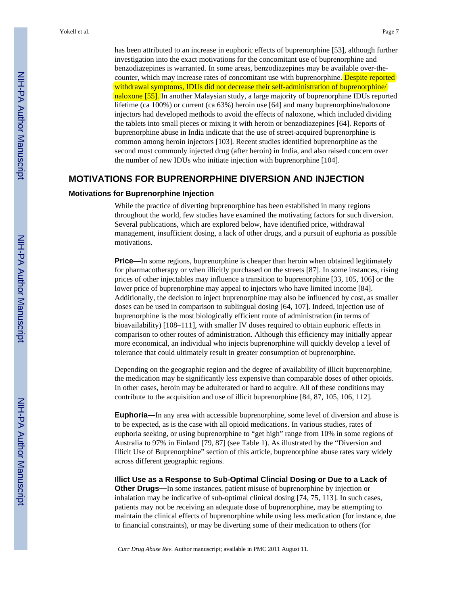has been attributed to an increase in euphoric effects of buprenorphine [53], although further investigation into the exact motivations for the concomitant use of buprenorphine and benzodiazepines is warranted. In some areas, benzodiazepines may be available over-thecounter, which may increase rates of concomitant use with buprenorphine. **Despite reported** withdrawal symptoms, IDUs did not decrease their self-administration of buprenorphine/ naloxone [55]. In another Malaysian study, a large majority of buprenorphine IDUs reported lifetime (ca 100%) or current (ca 63%) heroin use [64] and many buprenorphine/naloxone injectors had developed methods to avoid the effects of naloxone, which included dividing the tablets into small pieces or mixing it with heroin or benzodiazepines [64]. Reports of buprenorphine abuse in India indicate that the use of street-acquired buprenorphine is common among heroin injectors [103]. Recent studies identified buprenorphine as the second most commonly injected drug (after heroin) in India, and also raised concern over the number of new IDUs who initiate injection with buprenorphine [104].

#### **MOTIVATIONS FOR BUPRENORPHINE DIVERSION AND INJECTION**

#### **Motivations for Buprenorphine Injection**

While the practice of diverting buprenorphine has been established in many regions throughout the world, few studies have examined the motivating factors for such diversion. Several publications, which are explored below, have identified price, withdrawal management, insufficient dosing, a lack of other drugs, and a pursuit of euphoria as possible motivations.

**Price—**In some regions, buprenorphine is cheaper than heroin when obtained legitimately for pharmacotherapy or when illicitly purchased on the streets [87]. In some instances, rising prices of other injectables may influence a transition to buprenorphine [33, 105, 106] or the lower price of buprenorphine may appeal to injectors who have limited income [84]. Additionally, the decision to inject buprenorphine may also be influenced by cost, as smaller doses can be used in comparison to sublingual dosing [64, 107]. Indeed, injection use of buprenorphine is the most biologically efficient route of administration (in terms of bioavailability) [108–111], with smaller IV doses required to obtain euphoric effects in comparison to other routes of administration. Although this efficiency may initially appear more economical, an individual who injects buprenorphine will quickly develop a level of tolerance that could ultimately result in greater consumption of buprenorphine.

Depending on the geographic region and the degree of availability of illicit buprenorphine, the medication may be significantly less expensive than comparable doses of other opioids. In other cases, heroin may be adulterated or hard to acquire. All of these conditions may contribute to the acquisition and use of illicit buprenorphine [84, 87, 105, 106, 112].

**Euphoria—**In any area with accessible buprenorphine, some level of diversion and abuse is to be expected, as is the case with all opioid medications. In various studies, rates of euphoria seeking, or using buprenorphine to "get high" range from 10% in some regions of Australia to 97% in Finland [79, 87] (see Table 1). As illustrated by the "Diversion and Illicit Use of Buprenorphine" section of this article, buprenorphine abuse rates vary widely across different geographic regions.

**Illict Use as a Response to Sub-Optimal Clincial Dosing or Due to a Lack of**

**Other Drugs—**In some instances, patient misuse of buprenorphine by injection or inhalation may be indicative of sub-optimal clinical dosing [74, 75, 113]. In such cases, patients may not be receiving an adequate dose of buprenorphine, may be attempting to maintain the clinical effects of buprenorphine while using less medication (for instance, due to financial constraints), or may be diverting some of their medication to others (for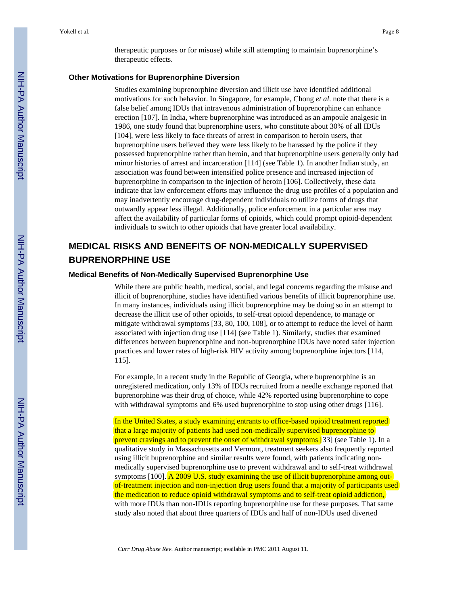therapeutic purposes or for misuse) while still attempting to maintain buprenorphine's therapeutic effects.

#### **Other Motivations for Buprenorphine Diversion**

Studies examining buprenorphine diversion and illicit use have identified additional motivations for such behavior. In Singapore, for example, Chong *et al*. note that there is a false belief among IDUs that intravenous administration of buprenorphine can enhance erection [107]. In India, where buprenorphine was introduced as an ampoule analgesic in 1986, one study found that buprenorphine users, who constitute about 30% of all IDUs [104], were less likely to face threats of arrest in comparison to heroin users, that buprenorphine users believed they were less likely to be harassed by the police if they possessed buprenorphine rather than heroin, and that buprenorphine users generally only had minor histories of arrest and incarceration [114] (see Table 1). In another Indian study, an association was found between intensified police presence and increased injection of buprenorphine in comparison to the injection of heroin [106]. Collectively, these data indicate that law enforcement efforts may influence the drug use profiles of a population and may inadvertently encourage drug-dependent individuals to utilize forms of drugs that outwardly appear less illegal. Additionally, police enforcement in a particular area may affect the availability of particular forms of opioids, which could prompt opioid-dependent individuals to switch to other opioids that have greater local availability.

## **MEDICAL RISKS AND BENEFITS OF NON-MEDICALLY SUPERVISED BUPRENORPHINE USE**

#### **Medical Benefits of Non-Medically Supervised Buprenorphine Use**

While there are public health, medical, social, and legal concerns regarding the misuse and illicit of buprenorphine, studies have identified various benefits of illicit buprenorphine use. In many instances, individuals using illicit buprenorphine may be doing so in an attempt to decrease the illicit use of other opioids, to self-treat opioid dependence, to manage or mitigate withdrawal symptoms [33, 80, 100, 108], or to attempt to reduce the level of harm associated with injection drug use [114] (see Table 1). Similarly, studies that examined differences between buprenorphine and non-buprenorphine IDUs have noted safer injection practices and lower rates of high-risk HIV activity among buprenorphine injectors [114, 115].

For example, in a recent study in the Republic of Georgia, where buprenorphine is an unregistered medication, only 13% of IDUs recruited from a needle exchange reported that buprenorphine was their drug of choice, while 42% reported using buprenorphine to cope with withdrawal symptoms and 6% used buprenorphine to stop using other drugs [116].

In the United States, a study examining entrants to office-based opioid treatment reported that a large majority of patients had used non-medically supervised buprenorphine to prevent cravings and to prevent the onset of withdrawal symptoms [33] (see Table 1). In a qualitative study in Massachusetts and Vermont, treatment seekers also frequently reported using illicit buprenorphine and similar results were found, with patients indicating nonmedically supervised buprenorphine use to prevent withdrawal and to self-treat withdrawal symptoms [100]. A 2009 U.S. study examining the use of illicit buprenorphine among outof-treatment injection and non-injection drug users found that a majority of participants used the medication to reduce opioid withdrawal symptoms and to self-treat opioid addiction, with more IDUs than non-IDUs reporting buprenorphine use for these purposes. That same study also noted that about three quarters of IDUs and half of non-IDUs used diverted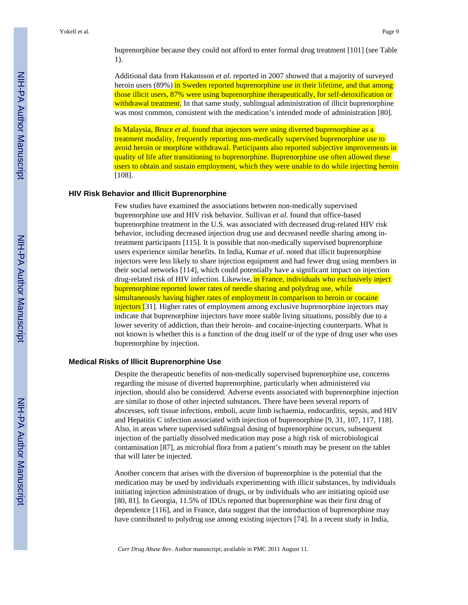buprenorphine because they could not afford to enter formal drug treatment [101] (see Table 1).

Additional data from Hakansson *et al*. reported in 2007 showed that a majority of surveyed heroin users (89%) in Sweden reported buprenorphine use in their lifetime, and that among those illicit users, 87% were using buprenorphine therapeutically, for self-detoxification or withdrawal treatment. In that same study, sublingual administration of illicit buprenorphine was most common, consistent with the medication's intended mode of administration [80].

In Malaysia, Bruce *et al*. found that injectors were using diverted buprenorphine as a treatment modality, frequently reporting non-medically supervised buprenorphine use to avoid heroin or morphine withdrawal. Participants also reported subjective improvements in quality of life after transitioning to buprenorphine. Buprenorphine use often allowed these users to obtain and sustain employment, which they were unable to do while injecting heroin [108].

#### **HIV Risk Behavior and Illicit Buprenorphine**

Few studies have examined the associations between non-medically supervised buprenorphine use and HIV risk behavior. Sullivan *et al*. found that office-based buprenorphine treatment in the U.S. was associated with decreased drug-related HIV risk behavior, including decreased injection drug use and decreased needle sharing among intreatment participants [115]. It is possible that non-medically supervised buprenorphine users experience similar benefits. In India, Kumar *et al*. noted that illicit buprenorphine injectors were less likely to share injection equipment and had fewer drug using members in their social networks [114], which could potentially have a significant impact on injection drug-related risk of HIV infection. Likewise, in France, individuals who exclusively inject buprenorphine reported lower rates of needle sharing and polydrug use, while simultaneously having higher rates of employment in comparison to heroin or cocaine injectors [31]. Higher rates of employment among exclusive buprenorphine injectors may indicate that buprenorphine injectors have more stable living situations, possibly due to a lower severity of addiction, than their heroin- and cocaine-injecting counterparts. What is not known is whether this is a function of the drug itself or of the type of drug user who uses buprenorphine by injection.

#### **Medical Risks of Illicit Buprenorphine Use**

Despite the therapeutic benefits of non-medically supervised buprenorphine use, concerns regarding the misuse of diverted buprenorphine, particularly when administered *via* injection, should also be considered. Adverse events associated with buprenorphine injection are similar to those of other injected substances. There have been several reports of abscesses, soft tissue infections, emboli, acute limb ischaemia, endocarditis, sepsis, and HIV and Hepatitis C infection associated with injection of buprenorphine [9, 31, 107, 117, 118]. Also, in areas where supervised sublingual dosing of buprenorphine occurs, subsequent injection of the partially dissolved medication may pose a high risk of microbiological contamination [87], as microbial flora from a patient's mouth may be present on the tablet that will later be injected.

Another concern that arises with the diversion of buprenorphine is the potential that the medication may be used by individuals experimenting with illicit substances, by individuals initiating injection administration of drugs, or by individuals who are initiating opioid use [80, 81]. In Georgia, 11.5% of IDUs reported that buprenorphine was their first drug of dependence [116], and in France, data suggest that the introduction of buprenorphine may have contributed to polydrug use among existing injectors [74]. In a recent study in India,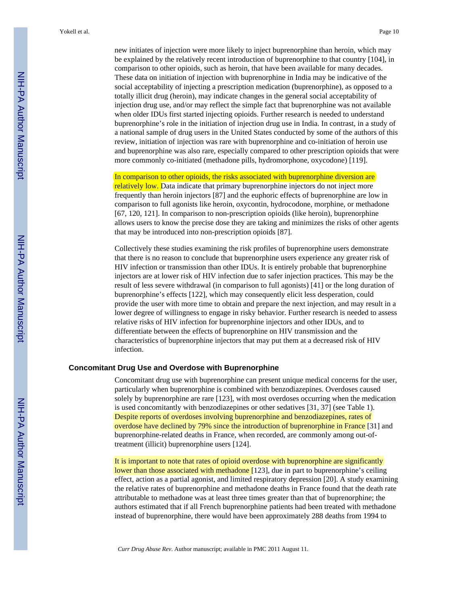new initiates of injection were more likely to inject buprenorphine than heroin, which may be explained by the relatively recent introduction of buprenorphine to that country [104], in comparison to other opioids, such as heroin, that have been available for many decades. These data on initiation of injection with buprenorphine in India may be indicative of the social acceptability of injecting a prescription medication (buprenorphine), as opposed to a totally illicit drug (heroin), may indicate changes in the general social acceptability of injection drug use, and/or may reflect the simple fact that buprenorphine was not available when older IDUs first started injecting opioids. Further research is needed to understand buprenorphine's role in the initiation of injection drug use in India. In contrast, in a study of a national sample of drug users in the United States conducted by some of the authors of this review, initiation of injection was rare with buprenorphine and co-initiation of heroin use and buprenorphine was also rare, especially compared to other prescription opioids that were more commonly co-initiated (methadone pills, hydromorphone, oxycodone) [119].

In comparison to other opioids, the risks associated with buprenorphine diversion are

relatively low. Data indicate that primary buprenorphine injectors do not inject more frequently than heroin injectors [87] and the euphoric effects of buprenorphine are low in comparison to full agonists like heroin, oxycontin, hydrocodone, morphine, or methadone [67, 120, 121]. In comparison to non-prescription opioids (like heroin), buprenorphine allows users to know the precise dose they are taking and minimizes the risks of other agents that may be introduced into non-prescription opioids [87].

Collectively these studies examining the risk profiles of buprenorphine users demonstrate that there is no reason to conclude that buprenorphine users experience any greater risk of HIV infection or transmission than other IDUs. It is entirely probable that buprenorphine injectors are at lower risk of HIV infection due to safer injection practices. This may be the result of less severe withdrawal (in comparison to full agonists) [41] or the long duration of buprenorphine's effects [122], which may consequently elicit less desperation, could provide the user with more time to obtain and prepare the next injection, and may result in a lower degree of willingness to engage in risky behavior. Further research is needed to assess relative risks of HIV infection for buprenorphine injectors and other IDUs, and to differentiate between the effects of buprenorphine on HIV transmission and the characteristics of buprenorphine injectors that may put them at a decreased risk of HIV infection.

#### **Concomitant Drug Use and Overdose with Buprenorphine**

Concomitant drug use with buprenorphine can present unique medical concerns for the user, particularly when buprenorphine is combined with benzodiazepines. Overdoses caused solely by buprenorphine are rare [123], with most overdoses occurring when the medication is used concomitantly with benzodiazepines or other sedatives [31, 37] (see Table 1). Despite reports of overdoses involving buprenorphine and benzodiazepines, rates of overdose have declined by 79% since the introduction of buprenorphine in France [31] and buprenorphine-related deaths in France, when recorded, are commonly among out-oftreatment (illicit) buprenorphine users [124].

It is important to note that rates of opioid overdose with buprenorphine are significantly lower than those associated with methadone [123], due in part to buprenorphine's ceiling effect, action as a partial agonist, and limited respiratory depression [20]. A study examining the relative rates of buprenorphine and methadone deaths in France found that the death rate attributable to methadone was at least three times greater than that of buprenorphine; the authors estimated that if all French buprenorphine patients had been treated with methadone instead of buprenorphine, there would have been approximately 288 deaths from 1994 to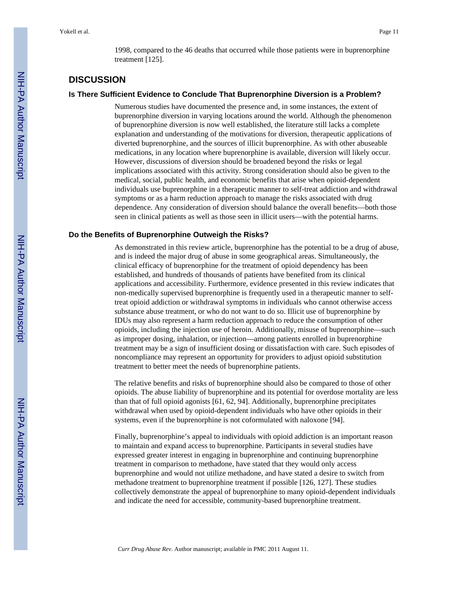1998, compared to the 46 deaths that occurred while those patients were in buprenorphine treatment [125].

## **DISCUSSION**

#### **Is There Sufficient Evidence to Conclude That Buprenorphine Diversion is a Problem?**

Numerous studies have documented the presence and, in some instances, the extent of buprenorphine diversion in varying locations around the world. Although the phenomenon of buprenorphine diversion is now well established, the literature still lacks a complete explanation and understanding of the motivations for diversion, therapeutic applications of diverted buprenorphine, and the sources of illicit buprenorphine. As with other abuseable medications, in any location where buprenorphine is available, diversion will likely occur. However, discussions of diversion should be broadened beyond the risks or legal implications associated with this activity. Strong consideration should also be given to the medical, social, public health, and economic benefits that arise when opioid-dependent individuals use buprenorphine in a therapeutic manner to self-treat addiction and withdrawal symptoms or as a harm reduction approach to manage the risks associated with drug dependence. Any consideration of diversion should balance the overall benefits—both those seen in clinical patients as well as those seen in illicit users—with the potential harms.

#### **Do the Benefits of Buprenorphine Outweigh the Risks?**

As demonstrated in this review article, buprenorphine has the potential to be a drug of abuse, and is indeed the major drug of abuse in some geographical areas. Simultaneously, the clinical efficacy of buprenorphine for the treatment of opioid dependency has been established, and hundreds of thousands of patients have benefited from its clinical applications and accessibility. Furthermore, evidence presented in this review indicates that non-medically supervised buprenorphine is frequently used in a therapeutic manner to selftreat opioid addiction or withdrawal symptoms in individuals who cannot otherwise access substance abuse treatment, or who do not want to do so. Illicit use of buprenorphine by IDUs may also represent a harm reduction approach to reduce the consumption of other opioids, including the injection use of heroin. Additionally, misuse of buprenorphine—such as improper dosing, inhalation, or injection—among patients enrolled in buprenorphine treatment may be a sign of insufficient dosing or dissatisfaction with care. Such episodes of noncompliance may represent an opportunity for providers to adjust opioid substitution treatment to better meet the needs of buprenorphine patients.

The relative benefits and risks of buprenorphine should also be compared to those of other opioids. The abuse liability of buprenorphine and its potential for overdose mortality are less than that of full opioid agonists [61, 62, 94]. Additionally, buprenorphine precipitates withdrawal when used by opioid-dependent individuals who have other opioids in their systems, even if the buprenorphine is not coformulated with naloxone [94].

Finally, buprenorphine's appeal to individuals with opioid addiction is an important reason to maintain and expand access to buprenorphine. Participants in several studies have expressed greater interest in engaging in buprenorphine and continuing buprenorphine treatment in comparison to methadone, have stated that they would only access buprenorphine and would not utilize methadone, and have stated a desire to switch from methadone treatment to buprenorphine treatment if possible [126, 127]. These studies collectively demonstrate the appeal of buprenorphine to many opioid-dependent individuals and indicate the need for accessible, community-based buprenorphine treatment.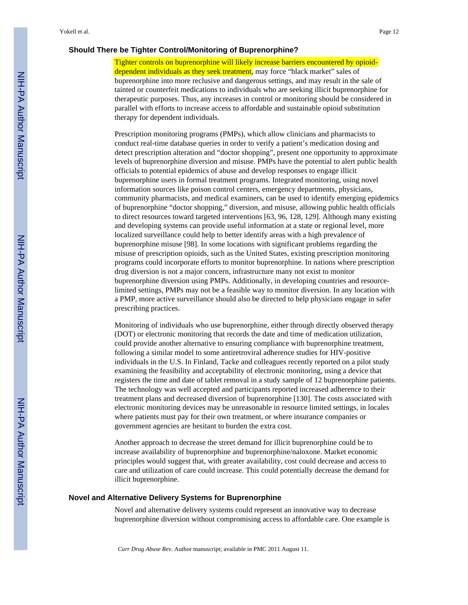#### **Should There be Tighter Control/Monitoring of Buprenorphine?**

#### Tighter controls on buprenorphine will likely increase barriers encountered by opioiddependent individuals as they seek treatment, may force "black market" sales of buprenorphine into more reclusive and dangerous settings, and may result in the sale of tainted or counterfeit medications to individuals who are seeking illicit buprenorphine for therapeutic purposes. Thus, any increases in control or monitoring should be considered in parallel with efforts to increase access to affordable and sustainable opioid substitution therapy for dependent individuals.

Prescription monitoring programs (PMPs), which allow clinicians and pharmacists to conduct real-time database queries in order to verify a patient's medication dosing and detect prescription alteration and "doctor shopping", present one opportunity to approximate levels of buprenorphine diversion and misuse. PMPs have the potential to alert public health officials to potential epidemics of abuse and develop responses to engage illicit buprenorphine users in formal treatment programs. Integrated monitoring, using novel information sources like poison control centers, emergency departments, physicians, community pharmacists, and medical examiners, can be used to identify emerging epidemics of buprenorphine "doctor shopping," diversion, and misuse, allowing public health officials to direct resources toward targeted interventions [63, 96, 128, 129]. Although many existing and developing systems can provide useful information at a state or regional level, more localized surveillance could help to better identify areas with a high prevalence of buprenorphine misuse [98]. In some locations with significant problems regarding the misuse of prescription opioids, such as the United States, existing prescription monitoring programs could incorporate efforts to monitor buprenorphine. In nations where prescription drug diversion is not a major concern, infrastructure many not exist to monitor buprenorphine diversion using PMPs. Additionally, in developing countries and resourcelimited settings, PMPs may not be a feasible way to monitor diversion. In any location with a PMP, more active surveillance should also be directed to help physicians engage in safer prescribing practices.

Monitoring of individuals who use buprenorphine, either through directly observed therapy (DOT) or electronic monitoring that records the date and time of medication utilization, could provide another alternative to ensuring compliance with buprenorphine treatment, following a similar model to some antiretroviral adherence studies for HIV-positive individuals in the U.S. In Finland, Tacke and colleagues recently reported on a pilot study examining the feasibility and acceptability of electronic monitoring, using a device that registers the time and date of tablet removal in a study sample of 12 buprenorphine patients. The technology was well accepted and participants reported increased adherence to their treatment plans and decreased diversion of buprenorphine [130]. The costs associated with electronic monitoring devices may be unreasonable in resource limited settings, in locales where patients must pay for their own treatment, or where insurance companies or government agencies are hesitant to burden the extra cost.

Another approach to decrease the street demand for illicit buprenorphine could be to increase availability of buprenorphine and buprenorphine/naloxone. Market economic principles would suggest that, with greater availability, cost could decrease and access to care and utilization of care could increase. This could potentially decrease the demand for illicit buprenorphine.

#### **Novel and Alternative Delivery Systems for Buprenorphine**

Novel and alternative delivery systems could represent an innovative way to decrease buprenorphine diversion without compromising access to affordable care. One example is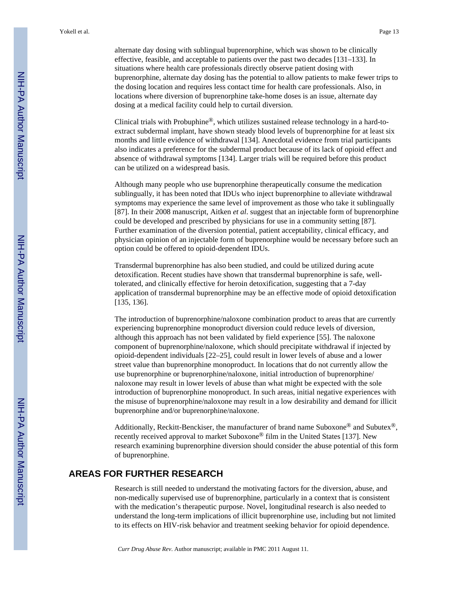alternate day dosing with sublingual buprenorphine, which was shown to be clinically effective, feasible, and acceptable to patients over the past two decades [131–133]. In situations where health care professionals directly observe patient dosing with buprenorphine, alternate day dosing has the potential to allow patients to make fewer trips to the dosing location and requires less contact time for health care professionals. Also, in locations where diversion of buprenorphine take-home doses is an issue, alternate day dosing at a medical facility could help to curtail diversion.

Clinical trials with Probuphine®, which utilizes sustained release technology in a hard-toextract subdermal implant, have shown steady blood levels of buprenorphine for at least six months and little evidence of withdrawal [134]. Anecdotal evidence from trial participants also indicates a preference for the subdermal product because of its lack of opioid effect and absence of withdrawal symptoms [134]. Larger trials will be required before this product can be utilized on a widespread basis.

Although many people who use buprenorphine therapeutically consume the medication sublingually, it has been noted that IDUs who inject buprenorphine to alleviate withdrawal symptoms may experience the same level of improvement as those who take it sublingually [87]. In their 2008 manuscript, Aitken *et al*. suggest that an injectable form of buprenorphine could be developed and prescribed by physicians for use in a community setting [87]. Further examination of the diversion potential, patient acceptability, clinical efficacy, and physician opinion of an injectable form of buprenorphine would be necessary before such an option could be offered to opioid-dependent IDUs.

Transdermal buprenorphine has also been studied, and could be utilized during acute detoxification. Recent studies have shown that transdermal buprenorphine is safe, welltolerated, and clinically effective for heroin detoxification, suggesting that a 7-day application of transdermal buprenorphine may be an effective mode of opioid detoxification [135, 136].

The introduction of buprenorphine/naloxone combination product to areas that are currently experiencing buprenorphine monoproduct diversion could reduce levels of diversion, although this approach has not been validated by field experience [55]. The naloxone component of buprenorphine/naloxone, which should precipitate withdrawal if injected by opioid-dependent individuals [22–25], could result in lower levels of abuse and a lower street value than buprenorphine monoproduct. In locations that do not currently allow the use buprenorphine or buprenorphine/naloxone, initial introduction of buprenorphine/ naloxone may result in lower levels of abuse than what might be expected with the sole introduction of buprenorphine monoproduct. In such areas, initial negative experiences with the misuse of buprenorphine/naloxone may result in a low desirability and demand for illicit buprenorphine and/or buprenorphine/naloxone.

Additionally, Reckitt-Benckiser, the manufacturer of brand name Suboxone<sup>®</sup> and Subutex<sup>®</sup>, recently received approval to market Suboxone® film in the United States [137]. New research examining buprenorphine diversion should consider the abuse potential of this form of buprenorphine.

## **AREAS FOR FURTHER RESEARCH**

Research is still needed to understand the motivating factors for the diversion, abuse, and non-medically supervised use of buprenorphine, particularly in a context that is consistent with the medication's therapeutic purpose. Novel, longitudinal research is also needed to understand the long-term implications of illicit buprenorphine use, including but not limited to its effects on HIV-risk behavior and treatment seeking behavior for opioid dependence.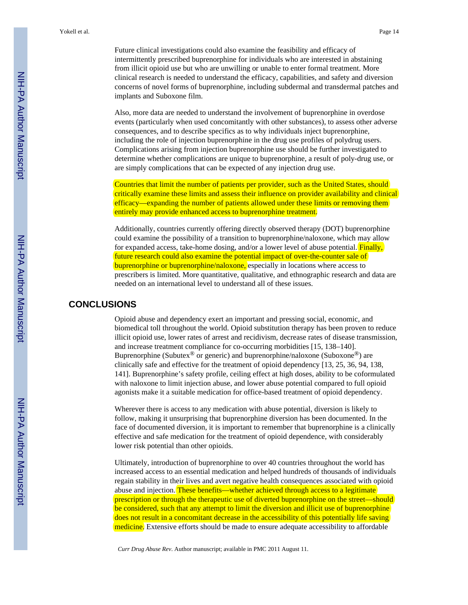Future clinical investigations could also examine the feasibility and efficacy of intermittently prescribed buprenorphine for individuals who are interested in abstaining from illicit opioid use but who are unwilling or unable to enter formal treatment. More clinical research is needed to understand the efficacy, capabilities, and safety and diversion concerns of novel forms of buprenorphine, including subdermal and transdermal patches and implants and Suboxone film.

Also, more data are needed to understand the involvement of buprenorphine in overdose events (particularly when used concomitantly with other substances), to assess other adverse consequences, and to describe specifics as to why individuals inject buprenorphine, including the role of injection buprenorphine in the drug use profiles of polydrug users. Complications arising from injection buprenorphine use should be further investigated to determine whether complications are unique to buprenorphine, a result of poly-drug use, or are simply complications that can be expected of any injection drug use.

Countries that limit the number of patients per provider, such as the United States, should critically examine these limits and assess their influence on provider availability and clinical efficacy—expanding the number of patients allowed under these limits or removing them entirely may provide enhanced access to buprenorphine treatment.

Additionally, countries currently offering directly observed therapy (DOT) buprenorphine could examine the possibility of a transition to buprenorphine/naloxone, which may allow for expanded access, take-home dosing, and/or a lower level of abuse potential. Finally, future research could also examine the potential impact of over-the-counter sale of buprenorphine or buprenorphine/naloxone, especially in locations where access to prescribers is limited. More quantitative, qualitative, and ethnographic research and data are needed on an international level to understand all of these issues.

## **CONCLUSIONS**

Opioid abuse and dependency exert an important and pressing social, economic, and biomedical toll throughout the world. Opioid substitution therapy has been proven to reduce illicit opioid use, lower rates of arrest and recidivism, decrease rates of disease transmission, and increase treatment compliance for co-occurring morbidities [15, 138–140]. Buprenorphine (Subutex<sup>®</sup> or generic) and buprenorphine/naloxone (Suboxone<sup>®</sup>) are clinically safe and effective for the treatment of opioid dependency [13, 25, 36, 94, 138, 141]. Buprenorphine's safety profile, ceiling effect at high doses, ability to be coformulated with naloxone to limit injection abuse, and lower abuse potential compared to full opioid agonists make it a suitable medication for office-based treatment of opioid dependency.

Wherever there is access to any medication with abuse potential, diversion is likely to follow, making it unsurprising that buprenorphine diversion has been documented. In the face of documented diversion, it is important to remember that buprenorphine is a clinically effective and safe medication for the treatment of opioid dependence, with considerably lower risk potential than other opioids.

Ultimately, introduction of buprenorphine to over 40 countries throughout the world has increased access to an essential medication and helped hundreds of thousands of individuals regain stability in their lives and avert negative health consequences associated with opioid abuse and injection. These benefits—whether achieved through access to a legitimate prescription or through the therapeutic use of diverted buprenorphine on the street—should be considered, such that any attempt to limit the diversion and illicit use of buprenorphine does not result in a concomitant decrease in the accessibility of this potentially life saving medicine. Extensive efforts should be made to ensure adequate accessibility to affordable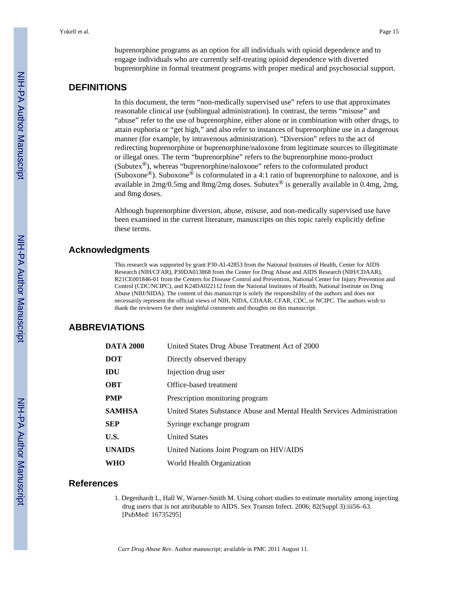buprenorphine programs as an option for all individuals with opioid dependence and to engage individuals who are currently self-treating opioid dependence with diverted buprenorphine in formal treatment programs with proper medical and psychosocial support.

## **DEFINITIONS**

In this document, the term "non-medically supervised use" refers to use that approximates reasonable clinical use (sublingual administration). In contrast, the terms "misuse" and "abuse" refer to the use of buprenorphine, either alone or in combination with other drugs, to attain euphoria or "get high," and also refer to instances of buprenorphine use in a dangerous manner (for example, by intravenous administration). "Diversion" refers to the act of redirecting buprenorphine or buprenorphine/naloxone from legitimate sources to illegitimate or illegal ones. The term "buprenorphine" refers to the buprenorphine mono-product (Subutex<sup>®</sup>), whereas "buprenorphine/naloxone" refers to the coformulated product (Suboxone<sup>®</sup>). Suboxone<sup>®</sup> is coformulated in a 4:1 ratio of buprenorphine to naloxone, and is available in  $2mg/0.5mg$  and  $8mg/2mg$  doses. Subutex<sup>®</sup> is generally available in 0.4mg,  $2mg$ , and 8mg doses.

Although buprenorphine diversion, abuse, misuse, and non-medically supervised use have been examined in the current literature, manuscripts on this topic rarely explicitly define these terms.

## **Acknowledgments**

This research was supported by grant P30-AI-42853 from the National Institutes of Health, Center for AIDS Research (NIH/CFAR), P30DA013868 from the Center for Drug Abuse and AIDS Research (NIH/CDAAR), R21CE001846-01 from the Centers for Disease Control and Prevention, National Center for Injury Prevention and Control (CDC/NCIPC), and K24DA022112 from the National Institutes of Health, National Institute on Drug Abuse (NIH/NIDA). The content of this manuscript is solely the responsibility of the authors and does not necessarily represent the official views of NIH, NIDA, CDAAR, CFAR, CDC, or NCIPC. The authors wish to thank the reviewers for their insightful comments and thoughts on this manuscript.

## **ABBREVIATIONS**

| <b>DATA 2000</b> | United States Drug Abuse Treatment Act of 2000                          |  |  |
|------------------|-------------------------------------------------------------------------|--|--|
| <b>DOT</b>       | Directly observed therapy                                               |  |  |
| <b>IDU</b>       | Injection drug user                                                     |  |  |
| <b>OBT</b>       | Office-based treatment                                                  |  |  |
| <b>PMP</b>       | Prescription monitoring program                                         |  |  |
| <b>SAMHSA</b>    | United States Substance Abuse and Mental Health Services Administration |  |  |
| <b>SEP</b>       | Syringe exchange program                                                |  |  |
| U.S.             | <b>United States</b>                                                    |  |  |
| <b>UNAIDS</b>    | United Nations Joint Program on HIV/AIDS                                |  |  |
| <b>WHO</b>       | World Health Organization                                               |  |  |

#### **References**

1. Degenhardt L, Hall W, Warner-Smith M. Using cohort studies to estimate mortality among injecting drug users that is not attributable to AIDS. Sex Transm Infect. 2006; 82(Suppl 3):iii56–63. [PubMed: 16735295]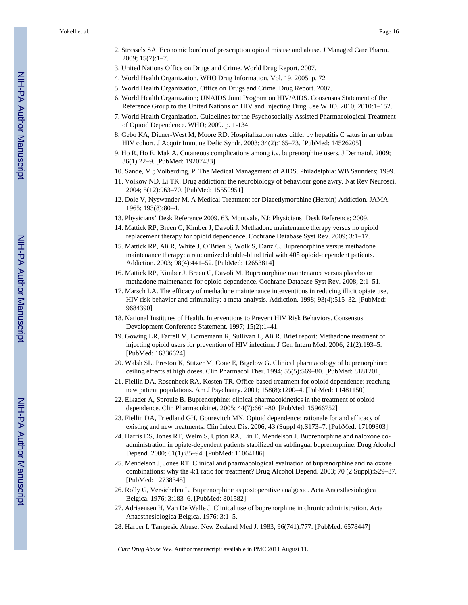- 2. Strassels SA. Economic burden of prescription opioid misuse and abuse. J Managed Care Pharm. 2009; 15(7):1–7.
- 3. United Nations Office on Drugs and Crime. World Drug Report. 2007.
- 4. World Health Organization. WHO Drug Information. Vol. 19. 2005. p. 72
- 5. World Health Organization, Office on Drugs and Crime. Drug Report. 2007.
- 6. World Health Organization; UNAIDS Joint Program on HIV/AIDS. Consensus Statement of the Reference Group to the United Nations on HIV and Injecting Drug Use WHO. 2010; 2010:1–152.
- 7. World Health Organization. Guidelines for the Psychosocially Assisted Pharmacological Treatment of Opioid Dependence. WHO; 2009. p. 1-134.
- 8. Gebo KA, Diener-West M, Moore RD. Hospitalization rates differ by hepatitis C satus in an urban HIV cohort. J Acquir Immune Defic Syndr. 2003; 34(2):165–73. [PubMed: 14526205]
- 9. Ho R, Ho E, Mak A. Cutaneous complications among i.v. buprenorphine users. J Dermatol. 2009; 36(1):22–9. [PubMed: 19207433]
- 10. Sande, M.; Volberding, P. The Medical Management of AIDS. Philadelphia: WB Saunders; 1999.
- 11. Volkow ND, Li TK. Drug addiction: the neurobiology of behaviour gone awry. Nat Rev Neurosci. 2004; 5(12):963–70. [PubMed: 15550951]
- 12. Dole V, Nyswander M. A Medical Treatment for Diacetlymorphine (Heroin) Addiction. JAMA. 1965; 193(8):80–4.
- 13. Physicians' Desk Reference 2009. 63. Montvale, NJ: Physicians' Desk Reference; 2009.
- 14. Mattick RP, Breen C, Kimber J, Davoli J. Methadone maintenance therapy versus no opioid replacement therapy for opioid dependence. Cochrane Database Syst Rev. 2009; 3:1–17.
- 15. Mattick RP, Ali R, White J, O'Brien S, Wolk S, Danz C. Buprenorphine versus methadone maintenance therapy: a randomized double-blind trial with 405 opioid-dependent patients. Addiction. 2003; 98(4):441–52. [PubMed: 12653814]
- 16. Mattick RP, Kimber J, Breen C, Davoli M. Buprenorphine maintenance versus placebo or methadone maintenance for opioid dependence. Cochrane Database Syst Rev. 2008; 2:1–51.
- 17. Marsch LA. The efficacy of methadone maintenance interventions in reducing illicit opiate use, HIV risk behavior and criminality: a meta-analysis. Addiction. 1998; 93(4):515–32. [PubMed: 9684390]
- 18. National Institutes of Health. Interventions to Prevent HIV Risk Behaviors. Consensus Development Conference Statement. 1997; 15(2):1–41.
- 19. Gowing LR, Farrell M, Bornemann R, Sullivan L, Ali R. Brief report: Methadone treatment of injecting opioid users for prevention of HIV infection. J Gen Intern Med. 2006; 21(2):193–5. [PubMed: 16336624]
- 20. Walsh SL, Preston K, Stitzer M, Cone E, Bigelow G. Clinical pharmacology of buprenorphine: ceiling effects at high doses. Clin Pharmacol Ther. 1994; 55(5):569–80. [PubMed: 8181201]
- 21. Fiellin DA, Rosenheck RA, Kosten TR. Office-based treatment for opioid dependence: reaching new patient populations. Am J Psychiatry. 2001; 158(8):1200–4. [PubMed: 11481150]
- 22. Elkader A, Sproule B. Buprenorphine: clinical pharmacokinetics in the treatment of opioid dependence. Clin Pharmacokinet. 2005; 44(7):661–80. [PubMed: 15966752]
- 23. Fiellin DA, Friedland GH, Gourevitch MN. Opioid dependence: rationale for and efficacy of existing and new treatments. Clin Infect Dis. 2006; 43 (Suppl 4):S173–7. [PubMed: 17109303]
- 24. Harris DS, Jones RT, Welm S, Upton RA, Lin E, Mendelson J. Buprenorphine and naloxone coadministration in opiate-dependent patients stabilized on sublingual buprenorphine. Drug Alcohol Depend. 2000; 61(1):85–94. [PubMed: 11064186]
- 25. Mendelson J, Jones RT. Clinical and pharmacological evaluation of buprenorphine and naloxone combinations: why the 4:1 ratio for treatment? Drug Alcohol Depend. 2003; 70 (2 Suppl):S29–37. [PubMed: 12738348]
- 26. Rolly G, Versichelen L. Buprenorphine as postoperative analgesic. Acta Anaesthesiologica Belgica. 1976; 3:183–6. [PubMed: 801582]
- 27. Adriaensen H, Van De Walle J. Clinical use of buprenorphine in chronic administration. Acta Anaesthesiologica Belgica. 1976; 3:1–5.
- 28. Harper I. Tamgesic Abuse. New Zealand Med J. 1983; 96(741):777. [PubMed: 6578447]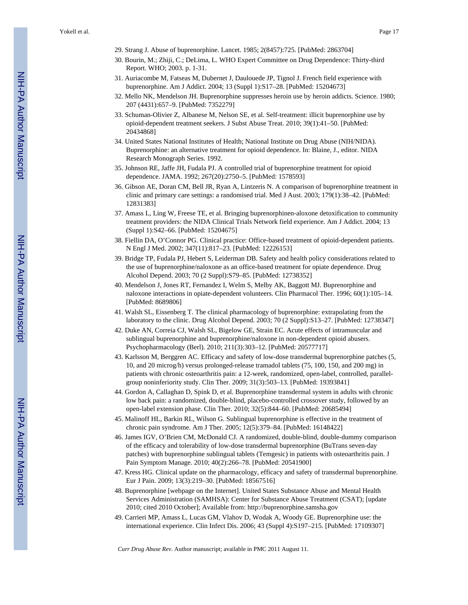- 29. Strang J. Abuse of buprenorphine. Lancet. 1985; 2(8457):725. [PubMed: 2863704]
- 30. Bourin, M.; Zhiji, C.; DeLima, L. WHO Expert Committee on Drug Dependence: Thirty-third Report. WHO; 2003. p. 1-31.
- 31. Auriacombe M, Fatseas M, Dubernet J, Daulouede JP, Tignol J. French field experience with buprenorphine. Am J Addict. 2004; 13 (Suppl 1):S17–28. [PubMed: 15204673]
- 32. Mello NK, Mendelson JH. Buprenorphine suppresses heroin use by heroin addicts. Science. 1980; 207 (4431):657–9. [PubMed: 7352279]
- 33. Schuman-Olivier Z, Albanese M, Nelson SE, et al. Self-treatment: illicit buprenorphine use by opioid-dependent treatment seekers. J Subst Abuse Treat. 2010; 39(1):41–50. [PubMed: 20434868]
- 34. United States National Institutes of Health; National Institute on Drug Abuse (NIH/NIDA). Buprenorphine: an alternative treatment for opioid dependence. In: Blaine, J., editor. NIDA Research Monograph Series. 1992.
- 35. Johnson RE, Jaffe JH, Fudala PJ. A controlled trial of buprenorphine treatment for opioid dependence. JAMA. 1992; 267(20):2750–5. [PubMed: 1578593]
- 36. Gibson AE, Doran CM, Bell JR, Ryan A, Lintzeris N. A comparison of buprenorphine treatment in clinic and primary care settings: a randomised trial. Med J Aust. 2003; 179(1):38–42. [PubMed: 12831383]
- 37. Amass L, Ling W, Freese TE, et al. Bringing buprenorphinen-aloxone detoxification to community treatment providers: the NIDA Clinical Trials Network field experience. Am J Addict. 2004; 13 (Suppl 1):S42–66. [PubMed: 15204675]
- 38. Fiellin DA, O'Connor PG. Clinical practice: Office-based treatment of opioid-dependent patients. N Engl J Med. 2002; 347(11):817–23. [PubMed: 12226153]
- 39. Bridge TP, Fudala PJ, Hebert S, Leiderman DB. Safety and health policy considerations related to the use of buprenorphine/naloxone as an office-based treatment for opiate dependence. Drug Alcohol Depend. 2003; 70 (2 Suppl):S79–85. [PubMed: 12738352]
- 40. Mendelson J, Jones RT, Fernandez I, Welm S, Melby AK, Baggott MJ. Buprenorphine and naloxone interactions in opiate-dependent volunteers. Clin Pharmacol Ther. 1996; 60(1):105–14. [PubMed: 8689806]
- 41. Walsh SL, Eissenberg T. The clinical pharmacology of buprenorphine: extrapolating from the laboratory to the clinic. Drug Alcohol Depend. 2003; 70 (2 Suppl):S13–27. [PubMed: 12738347]
- 42. Duke AN, Correia CJ, Walsh SL, Bigelow GE, Strain EC. Acute effects of intramuscular and sublingual buprenorphine and buprenorphine/naloxone in non-dependent opioid abusers. Psychopharmacology (Berl). 2010; 211(3):303–12. [PubMed: 20577717]
- 43. Karlsson M, Berggren AC. Efficacy and safety of low-dose transdermal buprenorphine patches (5, 10, and 20 microg/h) versus prolonged-release tramadol tablets (75, 100, 150, and 200 mg) in patients with chronic osteoarthritis pain: a 12-week, randomized, open-label, controlled, parallelgroup noninferiority study. Clin Ther. 2009; 31(3):503–13. [PubMed: 19393841]
- 44. Gordon A, Callaghan D, Spink D, et al. Buprenorphine transdermal system in adults with chronic low back pain: a randomized, double-blind, placebo-controlled crossover study, followed by an open-label extension phase. Clin Ther. 2010; 32(5):844–60. [PubMed: 20685494]
- 45. Malinoff HL, Barkin RL, Wilson G. Sublingual buprenorphine is effective in the treatment of chronic pain syndrome. Am J Ther. 2005; 12(5):379–84. [PubMed: 16148422]
- 46. James IGV, O'Brien CM, McDonald CJ. A randomized, double-blind, double-dummy comparison of the efficacy and tolerability of low-dose transdermal buprenorphine (BuTrans seven-day patches) with buprenorphine sublingual tablets (Temgesic) in patients with osteoarthritis pain. J Pain Symptom Manage. 2010; 40(2):266–78. [PubMed: 20541900]
- 47. Kress HG. Clinical update on the pharmacology, efficacy and safety of transdermal buprenorphine. Eur J Pain. 2009; 13(3):219–30. [PubMed: 18567516]
- 48. Buprenorphine [webpage on the Internet]. United States Substance Abuse and Mental Health Services Administration (SAMHSA): Center for Substance Abuse Treatment (CSAT); [update 2010; cited 2010 October]; Available from: <http://buprenorphine.samsha.gov>
- 49. Carrieri MP, Amass L, Lucas GM, Vlahov D, Wodak A, Woody GE. Buprenorphine use: the international experience. Clin Infect Dis. 2006; 43 (Suppl 4):S197–215. [PubMed: 17109307]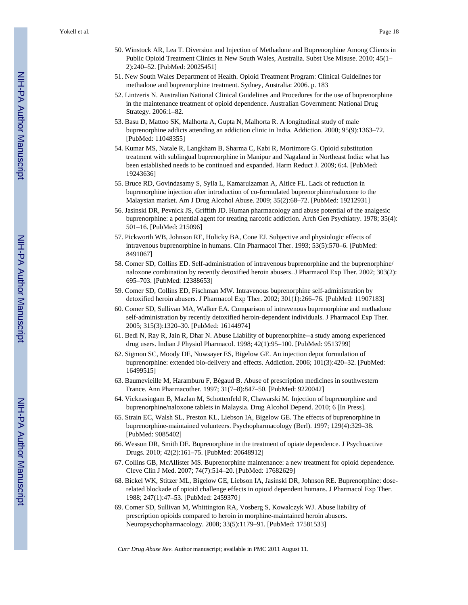- 50. Winstock AR, Lea T. Diversion and Injection of Methadone and Buprenorphine Among Clients in Public Opioid Treatment Clinics in New South Wales, Australia. Subst Use Misuse. 2010; 45(1– 2):240–52. [PubMed: 20025451]
- 51. New South Wales Department of Health. Opioid Treatment Program: Clinical Guidelines for methadone and buprenorphine treatment. Sydney, Australia: 2006. p. 183
- 52. Lintzeris N. Australian National Clinical Guidelines and Procedures for the use of buprenorphine in the maintenance treatment of opioid dependence. Australian Government: National Drug Strategy. 2006:1–82.
- 53. Basu D, Mattoo SK, Malhorta A, Gupta N, Malhorta R. A longitudinal study of male buprenorphine addicts attending an addiction clinic in India. Addiction. 2000; 95(9):1363–72. [PubMed: 11048355]
- 54. Kumar MS, Natale R, Langkham B, Sharma C, Kabi R, Mortimore G. Opioid substitution treatment with sublingual buprenorphine in Manipur and Nagaland in Northeast India: what has been established needs to be continued and expanded. Harm Reduct J. 2009; 6:4. [PubMed: 19243636]
- 55. Bruce RD, Govindasamy S, Sylla L, Kamarulzaman A, Altice FL. Lack of reduction in buprenorphine injection after introduction of co-formulated buprenorphine/naloxone to the Malaysian market. Am J Drug Alcohol Abuse. 2009; 35(2):68–72. [PubMed: 19212931]
- 56. Jasinski DR, Pevnick JS, Griffith JD. Human pharmacology and abuse potential of the analgesic buprenorphine: a potential agent for treating narcotic addiction. Arch Gen Psychiatry. 1978; 35(4): 501–16. [PubMed: 215096]
- 57. Pickworth WB, Johnson RE, Holicky BA, Cone EJ. Subjective and physiologic effects of intravenous buprenorphine in humans. Clin Pharmacol Ther. 1993; 53(5):570–6. [PubMed: 8491067]
- 58. Comer SD, Collins ED. Self-administration of intravenous buprenorphine and the buprenorphine/ naloxone combination by recently detoxified heroin abusers. J Pharmacol Exp Ther. 2002; 303(2): 695–703. [PubMed: 12388653]
- 59. Comer SD, Collins ED, Fischman MW. Intravenous buprenorphine self-administration by detoxified heroin abusers. J Pharmacol Exp Ther. 2002; 301(1):266–76. [PubMed: 11907183]
- 60. Comer SD, Sullivan MA, Walker EA. Comparison of intravenous buprenorphine and methadone self-administration by recently detoxified heroin-dependent individuals. J Pharmacol Exp Ther. 2005; 315(3):1320–30. [PubMed: 16144974]
- 61. Bedi N, Ray R, Jain R, Dhar N. Abuse Liability of buprenorphine--a study among experienced drug users. Indian J Physiol Pharmacol. 1998; 42(1):95–100. [PubMed: 9513799]
- 62. Sigmon SC, Moody DE, Nuwsayer ES, Bigelow GE. An injection depot formulation of buprenorphine: extended bio-delivery and effects. Addiction. 2006; 101(3):420–32. [PubMed: 16499515]
- 63. Baumevieille M, Haramburu F, Bégaud B. Abuse of prescription medicines in southwestern France. Ann Pharmacother. 1997; 31(7–8):847–50. [PubMed: 9220042]
- 64. Vicknasingam B, Mazlan M, Schottenfeld R, Chawarski M. Injection of buprenorphine and buprenorphine/naloxone tablets in Malaysia. Drug Alcohol Depend. 2010; 6 [In Press].
- 65. Strain EC, Walsh SL, Preston KL, Liebson IA, Bigelow GE. The effects of buprenorphine in buprenorphine-maintained volunteers. Psychopharmacology (Berl). 1997; 129(4):329–38. [PubMed: 9085402]
- 66. Wesson DR, Smith DE. Buprenorphine in the treatment of opiate dependence. J Psychoactive Drugs. 2010; 42(2):161–75. [PubMed: 20648912]
- 67. Collins GB, McAllister MS. Buprenorphine maintenance: a new treatment for opioid dependence. Cleve Clin J Med. 2007; 74(7):514–20. [PubMed: 17682629]
- 68. Bickel WK, Stitzer ML, Bigelow GE, Liebson IA, Jasinski DR, Johnson RE. Buprenorphine: doserelated blockade of opioid challenge effects in opioid dependent humans. J Pharmacol Exp Ther. 1988; 247(1):47–53. [PubMed: 2459370]
- 69. Comer SD, Sullivan M, Whittington RA, Vosberg S, Kowalczyk WJ. Abuse liability of prescription opioids compared to heroin in morphine-maintained heroin abusers. Neuropsychopharmacology. 2008; 33(5):1179–91. [PubMed: 17581533]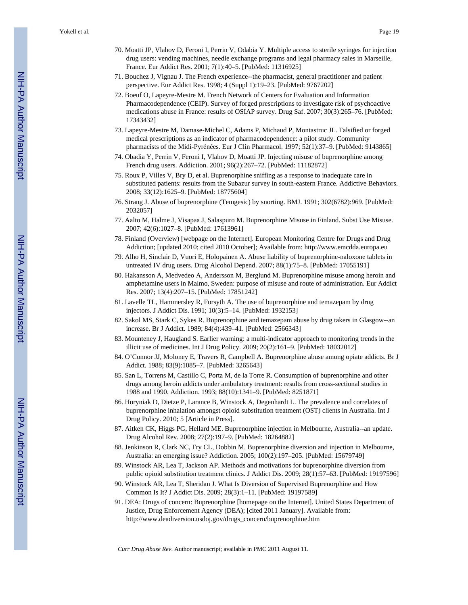- 70. Moatti JP, Vlahov D, Feroni I, Perrin V, Odabia Y. Multiple access to sterile syringes for injection drug users: vending machines, needle exchange programs and legal pharmacy sales in Marseille, France. Eur Addict Res. 2001; 7(1):40–5. [PubMed: 11316925]
- 71. Bouchez J, Vignau J. The French experience--the pharmacist, general practitioner and patient perspective. Eur Addict Res. 1998; 4 (Suppl 1):19–23. [PubMed: 9767202]
- 72. Boeuf O, Lapeyre-Mestre M. French Network of Centers for Evaluation and Information Pharmacodependence (CEIP). Survey of forged prescriptions to investigate risk of psychoactive medications abuse in France: results of OSIAP survey. Drug Saf. 2007; 30(3):265–76. [PubMed: 17343432]
- 73. Lapeyre-Mestre M, Damase-Michel C, Adams P, Michaud P, Montastruc JL. Falsified or forged medical prescriptions as an indicator of pharmacodependence: a pilot study. Community pharmacists of the Midi-Pyrénées. Eur J Clin Pharmacol. 1997; 52(1):37–9. [PubMed: 9143865]
- 74. Obadia Y, Perrin V, Feroni I, Vlahov D, Moatti JP. Injecting misuse of buprenorphine among French drug users. Addiction. 2001; 96(2):267–72. [PubMed: 11182872]
- 75. Roux P, Villes V, Bry D, et al. Buprenorphine sniffing as a response to inadequate care in substituted patients: results from the Subazur survey in south-eastern France. Addictive Behaviors. 2008; 33(12):1625–9. [PubMed: 18775604]
- 76. Strang J. Abuse of buprenorphine (Temgesic) by snorting. BMJ. 1991; 302(6782):969. [PubMed: 2032057]
- 77. Aalto M, Halme J, Visapaa J, Salaspuro M. Buprenorphine Misuse in Finland. Subst Use Misuse. 2007; 42(6):1027–8. [PubMed: 17613961]
- 78. Finland (Overview) [webpage on the Internet]. European Monitoring Centre for Drugs and Drug Addiction; [updated 2010; cited 2010 October]; Available from:<http://www.emcdda.europa.eu>
- 79. Alho H, Sinclair D, Vuori E, Holopainen A. Abuse liability of buprenorphine-naloxone tablets in untreated IV drug users. Drug Alcohol Depend. 2007; 88(1):75–8. [PubMed: 17055191]
- 80. Hakansson A, Medvedeo A, Andersson M, Berglund M. Buprenorphine misuse among heroin and amphetamine users in Malmo, Sweden: purpose of misuse and route of administration. Eur Addict Res. 2007; 13(4):207–15. [PubMed: 17851242]
- 81. Lavelle TL, Hammersley R, Forsyth A. The use of buprenorphine and temazepam by drug injectors. J Addict Dis. 1991; 10(3):5–14. [PubMed: 1932153]
- 82. Sakol MS, Stark C, Sykes R. Buprenorphine and temazepam abuse by drug takers in Glasgow--an increase. Br J Addict. 1989; 84(4):439–41. [PubMed: 2566343]
- 83. Mounteney J, Haugland S. Earlier warning: a multi-indicator approach to monitoring trends in the illicit use of medicines. Int J Drug Policy. 2009; 20(2):161–9. [PubMed: 18032012]
- 84. O'Connor JJ, Moloney E, Travers R, Campbell A. Buprenorphine abuse among opiate addicts. Br J Addict. 1988; 83(9):1085–7. [PubMed: 3265643]
- 85. San L, Torrens M, Castillo C, Porta M, de la Torre R. Consumption of buprenorphine and other drugs among heroin addicts under ambulatory treatment: results from cross-sectional studies in 1988 and 1990. Addiction. 1993; 88(10):1341–9. [PubMed: 8251871]
- 86. Horyniak D, Dietze P, Larance B, Winstock A, Degenhardt L. The prevalence and correlates of buprenorphine inhalation amongst opioid substitution treatment (OST) clients in Australia. Int J Drug Policy. 2010; 5 [Article in Press].
- 87. Aitken CK, Higgs PG, Hellard ME. Buprenorphine injection in Melbourne, Australia--an update. Drug Alcohol Rev. 2008; 27(2):197–9. [PubMed: 18264882]
- 88. Jenkinson R, Clark NC, Fry CL, Dobbin M. Buprenorphine diversion and injection in Melbourne, Australia: an emerging issue? Addiction. 2005; 100(2):197–205. [PubMed: 15679749]
- 89. Winstock AR, Lea T, Jackson AP. Methods and motivations for buprenorphine diversion from public opioid substitution treatment clinics. J Addict Dis. 2009; 28(1):57–63. [PubMed: 19197596]
- 90. Winstock AR, Lea T, Sheridan J. What Is Diversion of Supervised Buprenorphine and How Common Is It? J Addict Dis. 2009; 28(3):1–11. [PubMed: 19197589]
- 91. DEA: Drugs of concern: Buprenorphine [homepage on the Internet]. United States Department of Justice, Drug Enforcement Agency (DEA); [cited 2011 January]. Available from: [http://www.deadiversion.usdoj.gov/drugs\\_concern/buprenorphine.htm](http://www.deadiversion.usdoj.gov/drugs_concern/buprenorphine.htm)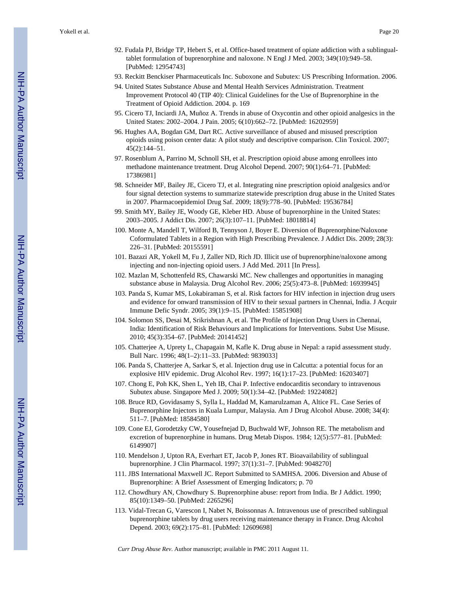- 92. Fudala PJ, Bridge TP, Hebert S, et al. Office-based treatment of opiate addiction with a sublingualtablet formulation of buprenorphine and naloxone. N Engl J Med. 2003; 349(10):949–58. [PubMed: 12954743]
- 93. Reckitt Benckiser Pharmaceuticals Inc. Suboxone and Subutex: US Prescribing Information. 2006.
- 94. United States Substance Abuse and Mental Health Services Administration. Treatment Improvement Protocol 40 (TIP 40): Clinical Guidelines for the Use of Buprenorphine in the Treatment of Opioid Addiction. 2004. p. 169
- 95. Cicero TJ, Inciardi JA, Muñoz A. Trends in abuse of Oxycontin and other opioid analgesics in the United States: 2002–2004. J Pain. 2005; 6(10):662–72. [PubMed: 16202959]
- 96. Hughes AA, Bogdan GM, Dart RC. Active surveillance of abused and misused prescription opioids using poison center data: A pilot study and descriptive comparison. Clin Toxicol. 2007; 45(2):144–51.
- 97. Rosenblum A, Parrino M, Schnoll SH, et al. Prescription opioid abuse among enrollees into methadone maintenance treatment. Drug Alcohol Depend. 2007; 90(1):64–71. [PubMed: 17386981]
- 98. Schneider MF, Bailey JE, Cicero TJ, et al. Integrating nine prescription opioid analgesics and/or four signal detection systems to summarize statewide prescription drug abuse in the United States in 2007. Pharmacoepidemiol Drug Saf. 2009; 18(9):778–90. [PubMed: 19536784]
- 99. Smith MY, Bailey JE, Woody GE, Kleber HD. Abuse of buprenorphine in the United States: 2003–2005. J Addict Dis. 2007; 26(3):107–11. [PubMed: 18018814]
- 100. Monte A, Mandell T, Wilford B, Tennyson J, Boyer E. Diversion of Buprenorphine/Naloxone Coformulated Tablets in a Region with High Prescribing Prevalence. J Addict Dis. 2009; 28(3): 226–31. [PubMed: 20155591]
- 101. Bazazi AR, Yokell M, Fu J, Zaller ND, Rich JD. Illicit use of buprenorphine/naloxone among injecting and non-injecting opioid users. J Add Med. 2011 [In Press].
- 102. Mazlan M, Schottenfeld RS, Chawarski MC. New challenges and opportunities in managing substance abuse in Malaysia. Drug Alcohol Rev. 2006; 25(5):473–8. [PubMed: 16939945]
- 103. Panda S, Kumar MS, Lokabiraman S, et al. Risk factors for HIV infection in injection drug users and evidence for onward transmission of HIV to their sexual partners in Chennai, India. J Acquir Immune Defic Syndr. 2005; 39(1):9–15. [PubMed: 15851908]
- 104. Solomon SS, Desai M, Srikrishnan A, et al. The Profile of Injection Drug Users in Chennai, India: Identification of Risk Behaviours and Implications for Interventions. Subst Use Misuse. 2010; 45(3):354–67. [PubMed: 20141452]
- 105. Chatterjee A, Uprety L, Chapagain M, Kafle K. Drug abuse in Nepal: a rapid assessment study. Bull Narc. 1996; 48(1–2):11–33. [PubMed: 9839033]
- 106. Panda S, Chatterjee A, Sarkar S, et al. Injection drug use in Calcutta: a potential focus for an explosive HIV epidemic. Drug Alcohol Rev. 1997; 16(1):17–23. [PubMed: 16203407]
- 107. Chong E, Poh KK, Shen L, Yeh IB, Chai P. Infective endocarditis secondary to intravenous Subutex abuse. Singapore Med J. 2009; 50(1):34–42. [PubMed: 19224082]
- 108. Bruce RD, Govidasamy S, Sylla L, Haddad M, Kamarulzaman A, Altice FL. Case Series of Buprenorphine Injectors in Kuala Lumpur, Malaysia. Am J Drug Alcohol Abuse. 2008; 34(4): 511–7. [PubMed: 18584580]
- 109. Cone EJ, Gorodetzky CW, Yousefnejad D, Buchwald WF, Johnson RE. The metabolism and excretion of buprenorphine in humans. Drug Metab Dispos. 1984; 12(5):577–81. [PubMed: 6149907]
- 110. Mendelson J, Upton RA, Everhart ET, Jacob P, Jones RT. Bioavailability of sublingual buprenorphine. J Clin Pharmacol. 1997; 37(1):31–7. [PubMed: 9048270]
- 111. JBS International Maxwell JC. Report Submitted to SAMHSA. 2006. Diversion and Abuse of Buprenorphine: A Brief Assessment of Emerging Indicators; p. 70
- 112. Chowdhury AN, Chowdhury S. Buprenorphine abuse: report from India. Br J Addict. 1990; 85(10):1349–50. [PubMed: 2265296]
- 113. Vidal-Trecan G, Varescon I, Nabet N, Boissonnas A. Intravenous use of prescribed sublingual buprenorphine tablets by drug users receiving maintenance therapy in France. Drug Alcohol Depend. 2003; 69(2):175–81. [PubMed: 12609698]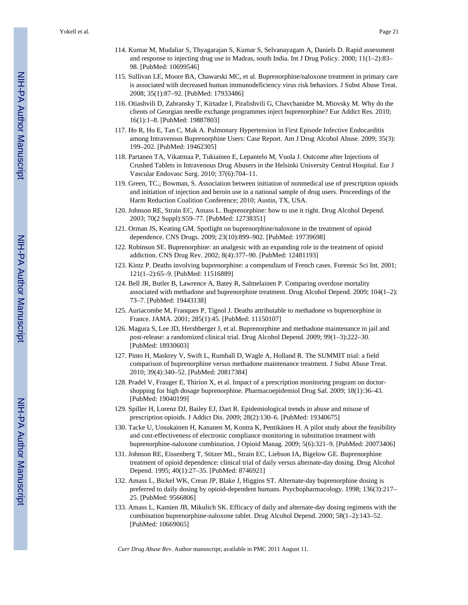- 114. Kumar M, Mudaliar S, Thyagarajan S, Kumar S, Selvanayagam A, Daniels D. Rapid assessment and response to injecting drug use in Madras, south India. Int J Drug Policy. 2000; 11(1–2):83– 98. [PubMed: 10699546]
- 115. Sullivan LE, Moore BA, Chawarski MC, et al. Buprenorphine/naloxone treatment in primary care is associated with decreased human immunodeficiency virus risk behaviors. J Subst Abuse Treat. 2008; 35(1):87–92. [PubMed: 17933486]
- 116. Otiashvili D, Zabransky T, Kirtadze I, Piralishvili G, Chavchanidze M, Miovsky M. Why do the clients of Georgian needle exchange programmes inject buprenorphine? Eur Addict Res. 2010; 16(1):1–8. [PubMed: 19887803]
- 117. Ho R, Ho E, Tan C, Mak A. Pulmonary Hypertension in First Episode Infective Endocarditis among Intravenous Buprenorphine Users: Case Report. Am J Drug Alcohol Abuse. 2009; 35(3): 199–202. [PubMed: 19462305]
- 118. Partanen TA, Vikatmaa P, Tukiainen E, Lepantelo M, Vuola J. Outcome after Injections of Crushed Tablets in Intravenous Drug Abusers in the Helsinki University Central Hospital. Eur J Vascular Endovasc Surg. 2010; 37(6):704–11.
- 119. Green, TC.; Bowman, S. Association between initiation of nonmedical use of prescription opioids and initiation of injection and heroin use in a national sample of drug users. Proceedings of the Harm Reduction Coalition Conference; 2010; Austin, TX, USA.
- 120. Johnson RE, Strain EC, Amass L. Buprenorphine: how to use it right. Drug Alcohol Depend. 2003; 70(2 Suppl):S59–77. [PubMed: 12738351]
- 121. Orman JS, Keating GM. Spotlight on buprenorphine/naloxone in the treatment of opioid dependence. CNS Drugs. 2009; 23(10):899–902. [PubMed: 19739698]
- 122. Robinson SE. Buprenorphine: an analgesic with an expanding role in the treatment of opioid addiction. CNS Drug Rev. 2002; 8(4):377–90. [PubMed: 12481193]
- 123. Kintz P. Deaths involving buprenorphine: a compendium of French cases. Forensic Sci Int. 2001; 121(1–2):65–9. [PubMed: 11516889]
- 124. Bell JR, Butler B, Lawrence A, Batey R, Salmelainen P. Comparing overdose mortality associated with methadone and buprenorphine treatment. Drug Alcohol Depend. 2009; 104(1–2): 73–7. [PubMed: 19443138]
- 125. Auriacombe M, Franques P, Tignol J. Deaths attributable to methadone *vs* buprenorphine in France. JAMA. 2001; 285(1):45. [PubMed: 11150107]
- 126. Magura S, Lee JD, Hershberger J, et al. Buprenorphine and methadone maintenance in jail and post-release: a randomized clinical trial. Drug Alcohol Depend. 2009; 99(1–3):222–30. [PubMed: 18930603]
- 127. Pinto H, Maskrey V, Swift L, Rumball D, Wagle A, Holland R. The SUMMIT trial: a field comparison of buprenorphine versus methadone maintenance treatment. J Subst Abuse Treat. 2010; 39(4):340–52. [PubMed: 20817384]
- 128. Pradel V, Frauger E, Thirion X, et al. Impact of a prescription monitoring program on doctorshopping for high dosage buprenorphine. Pharmacoepidemiol Drug Saf. 2009; 18(1):36–43. [PubMed: 19040199]
- 129. Spiller H, Lorenz DJ, Bailey EJ, Dart R. Epidemiological trends in abuse and misuse of prescription opioids. J Addict Dis. 2009; 28(2):130–6. [PubMed: 19340675]
- 130. Tacke U, Uosukainen H, Kananen M, Kontra K, Pentikänen H. A pilot study about the feasibility and cost-effectiveness of electronic compliance monitoring in substitution treatment with buprenorphine-naloxone combination. J Opioid Manag. 2009; 5(6):321–9. [PubMed: 20073406]
- 131. Johnson RE, Eissenberg T, Stitzer ML, Strain EC, Liebson IA, Bigelow GE. Buprenorphine treatment of opioid dependence: clinical trial of daily versus alternate-day dosing. Drug Alcohol Depend. 1995; 40(1):27–35. [PubMed: 8746921]
- 132. Amass L, Bickel WK, Crean JP, Blake J, Higgins ST. Alternate-day buprenorphine dosing is preferred to daily dosing by opioid-dependent humans. Psychopharmacology. 1998; 136(3):217– 25. [PubMed: 9566806]
- 133. Amass L, Kamien JB, Mikulich SK. Efficacy of daily and alternate-day dosing regimens with the combination buprenorphine-naloxone tablet. Drug Alcohol Depend. 2000; 58(1–2):143–52. [PubMed: 10669065]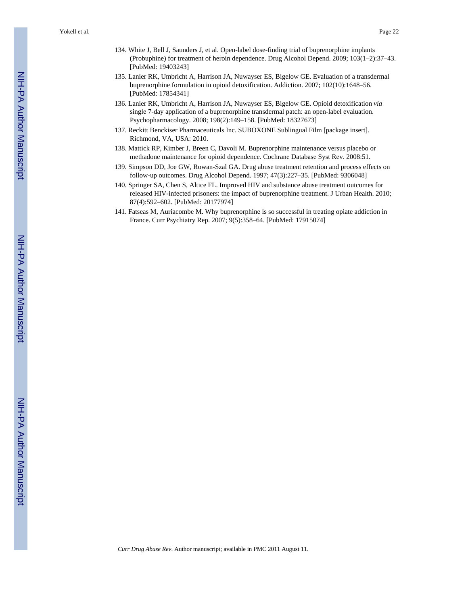Yokell et al. Page 22

- 134. White J, Bell J, Saunders J, et al. Open-label dose-finding trial of buprenorphine implants (Probuphine) for treatment of heroin dependence. Drug Alcohol Depend. 2009; 103(1–2):37–43. [PubMed: 19403243]
- 135. Lanier RK, Umbricht A, Harrison JA, Nuwayser ES, Bigelow GE. Evaluation of a transdermal buprenorphine formulation in opioid detoxification. Addiction. 2007; 102(10):1648–56. [PubMed: 17854341]
- 136. Lanier RK, Umbricht A, Harrison JA, Nuwayser ES, Bigelow GE. Opioid detoxification *via* single 7-day application of a buprenorphine transdermal patch: an open-label evaluation. Psychopharmacology. 2008; 198(2):149–158. [PubMed: 18327673]
- 137. Reckitt Benckiser Pharmaceuticals Inc. SUBOXONE Sublingual Film [package insert]. Richmond, VA, USA: 2010.
- 138. Mattick RP, Kimber J, Breen C, Davoli M. Buprenorphine maintenance versus placebo or methadone maintenance for opioid dependence. Cochrane Database Syst Rev. 2008:51.
- 139. Simpson DD, Joe GW, Rowan-Szal GA. Drug abuse treatment retention and process effects on follow-up outcomes. Drug Alcohol Depend. 1997; 47(3):227–35. [PubMed: 9306048]
- 140. Springer SA, Chen S, Altice FL. Improved HIV and substance abuse treatment outcomes for released HIV-infected prisoners: the impact of buprenorphine treatment. J Urban Health. 2010; 87(4):592–602. [PubMed: 20177974]
- 141. Fatseas M, Auriacombe M. Why buprenorphine is so successful in treating opiate addiction in France. Curr Psychiatry Rep. 2007; 9(5):358–64. [PubMed: 17915074]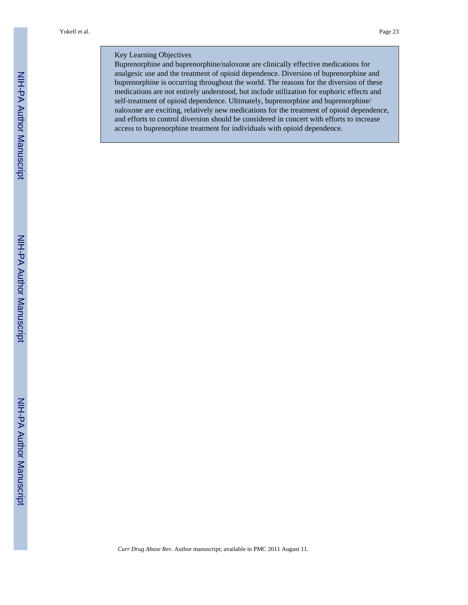#### Key Learning Objectives

Buprenorphine and buprenorphine/naloxone are clinically effective medications for analgesic use and the treatment of opioid dependence. Diversion of buprenorphine and buprenorphine is occurring throughout the world. The reasons for the diversion of these medications are not entirely understood, but include utilization for euphoric effects and self-treatment of opioid dependence. Ultimately, buprenorphine and buprenorphine/ naloxone are exciting, relatively new medications for the treatment of opioid dependence, and efforts to control diversion should be considered in concert with efforts to increase access to buprenorphine treatment for individuals with opioid dependence.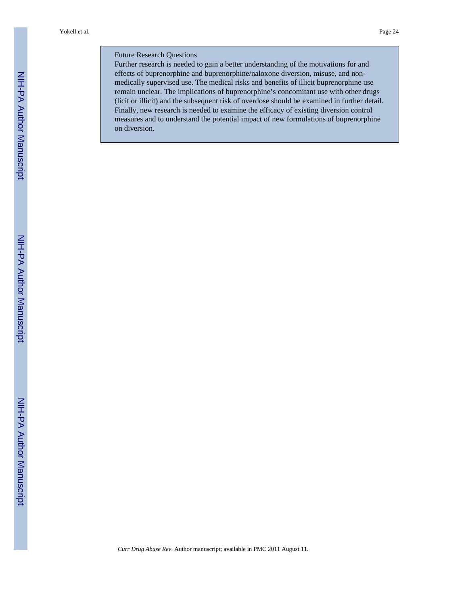#### Future Research Questions

Further research is needed to gain a better understanding of the motivations for and effects of buprenorphine and buprenorphine/naloxone diversion, misuse, and nonmedically supervised use. The medical risks and benefits of illicit buprenorphine use remain unclear. The implications of buprenorphine's concomitant use with other drugs (licit or illicit) and the subsequent risk of overdose should be examined in further detail. Finally, new research is needed to examine the efficacy of existing diversion control measures and to understand the potential impact of new formulations of buprenorphine on diversion.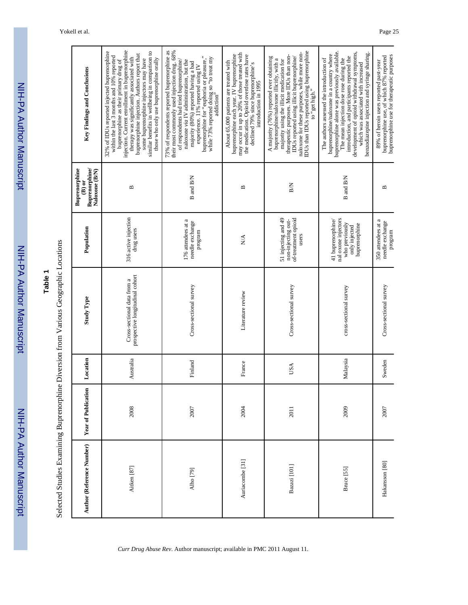NIH-PA Author ManuscriptNIH-PA Author Manuscript

| ۰ |  |
|---|--|
| ω |  |
|   |  |
|   |  |
|   |  |

| i<br>ļ<br>l<br>l                        |
|-----------------------------------------|
| .<br>.<br>ו<br>ו                        |
| i                                       |
|                                         |
| j                                       |
| l<br>I<br>l<br>$\overline{\phantom{a}}$ |
| I                                       |
|                                         |
| ζ                                       |

| Key Findings and Conclusions                                                            | injection. Current enrollment in buprenorphine<br>32% of IDUs reported injected buprenorphine<br>similar benefits in wellbeing in comparison to<br>buprenorphine injection. Authors report that<br>within the last 3 months and 10% reported<br>therapy was significantly associated with<br>those who only use buprenorphine orally<br>some buprenorphine injectors may have<br>buprenorphine as their primary drug of | their most commonly used injection drug. 68%<br>73% of respondents reported buprenorphine as<br>buprenorphine for "euphoria or pleasure,"<br>while 73% reported doing so "to treat my<br>addiction"<br>of respondents had tried buprenorphine/<br>naloxone via IV administration, but the<br>majority (80%) reported having a bad<br>experience. 11% reported using IV | may occur in up to 20% of those treated with<br>buprenorphine each year. IV buprenorphine<br>the medication. Opioid overdose rates have<br>About 65,000 patients are treated with<br>declined 79% since buprenorphine's<br>introduction in 1995 | DUs than IDUs reported using buprenorphine<br>to "get high."<br>naloxone for these purposes, while more non-<br>therapeutic purposes. More IDUs than non-<br>IDUs reported using illicit buprenorphine/<br>A majority (76%) reported ever obtaining<br>buprenorphine/naloxone illicitly, with a<br>majority using the illicit medication for | buprenorphine alone was previously available.<br>development of opioid withdrawal symptoms,<br>benzodiazepine injection and syringe sharing.<br>buprenorphine/naloxone in a country where<br>introduction, and participants reported the<br>The mean injection dose rose during the<br>The authors assessed the introduction of<br>which was associated with increased | buprenorphine use for therapeutic purposes<br>buprenorphine use, of which 87% reported<br>89% of heroin users reported past-year |
|-----------------------------------------------------------------------------------------|-------------------------------------------------------------------------------------------------------------------------------------------------------------------------------------------------------------------------------------------------------------------------------------------------------------------------------------------------------------------------------------------------------------------------|------------------------------------------------------------------------------------------------------------------------------------------------------------------------------------------------------------------------------------------------------------------------------------------------------------------------------------------------------------------------|-------------------------------------------------------------------------------------------------------------------------------------------------------------------------------------------------------------------------------------------------|----------------------------------------------------------------------------------------------------------------------------------------------------------------------------------------------------------------------------------------------------------------------------------------------------------------------------------------------|------------------------------------------------------------------------------------------------------------------------------------------------------------------------------------------------------------------------------------------------------------------------------------------------------------------------------------------------------------------------|----------------------------------------------------------------------------------------------------------------------------------|
| <b>Buprenorphine</b><br>Buprenorphine/<br>Naloxone <sup>(B/N)</sup><br>$\frac{1}{2}$ or | $\mathbf{m}$                                                                                                                                                                                                                                                                                                                                                                                                            | <b>B</b> and B/N                                                                                                                                                                                                                                                                                                                                                       | $\mathbf{r}$                                                                                                                                                                                                                                    | B/N                                                                                                                                                                                                                                                                                                                                          | B and B/N                                                                                                                                                                                                                                                                                                                                                              | $\mathbf{a}$                                                                                                                     |
| Population                                                                              | 316 active injection<br>drug users                                                                                                                                                                                                                                                                                                                                                                                      | 176 attendees at a<br>needle exchange<br>program                                                                                                                                                                                                                                                                                                                       | N/A                                                                                                                                                                                                                                             | of-treatment opioid<br>51 injecting and 49<br>non-injecting out-<br>users                                                                                                                                                                                                                                                                    | nal oxone injectors<br>41 buprenorphine/<br>who previously<br>buprenorphine<br>only injected                                                                                                                                                                                                                                                                           | 350 attendees at a<br>needle exchange<br>program                                                                                 |
| <b>Study Type</b>                                                                       | prospective longitudinal cohort<br>Cross-sectional data from a                                                                                                                                                                                                                                                                                                                                                          | Cross-sectional survey                                                                                                                                                                                                                                                                                                                                                 | Literature review                                                                                                                                                                                                                               | Cross-sectional survey                                                                                                                                                                                                                                                                                                                       | cross-sectional survey                                                                                                                                                                                                                                                                                                                                                 | Cross-sectional survey                                                                                                           |
| Location                                                                                | Australia                                                                                                                                                                                                                                                                                                                                                                                                               | Finland                                                                                                                                                                                                                                                                                                                                                                | France                                                                                                                                                                                                                                          | USA                                                                                                                                                                                                                                                                                                                                          | Malaysia                                                                                                                                                                                                                                                                                                                                                               | Sweden                                                                                                                           |
| <b>Year of Publication</b>                                                              | 2008                                                                                                                                                                                                                                                                                                                                                                                                                    | 2007                                                                                                                                                                                                                                                                                                                                                                   | 2004                                                                                                                                                                                                                                            | 2011                                                                                                                                                                                                                                                                                                                                         | 2009                                                                                                                                                                                                                                                                                                                                                                   | 2007                                                                                                                             |
| <b>Author (Reference Number)</b>                                                        | Aitken [87]                                                                                                                                                                                                                                                                                                                                                                                                             | Alho <sup>[79]</sup>                                                                                                                                                                                                                                                                                                                                                   | Auriacombe <sup>[31]</sup>                                                                                                                                                                                                                      | Bazazi [101]                                                                                                                                                                                                                                                                                                                                 | Bruce [55]                                                                                                                                                                                                                                                                                                                                                             | Hakansson [80]                                                                                                                   |